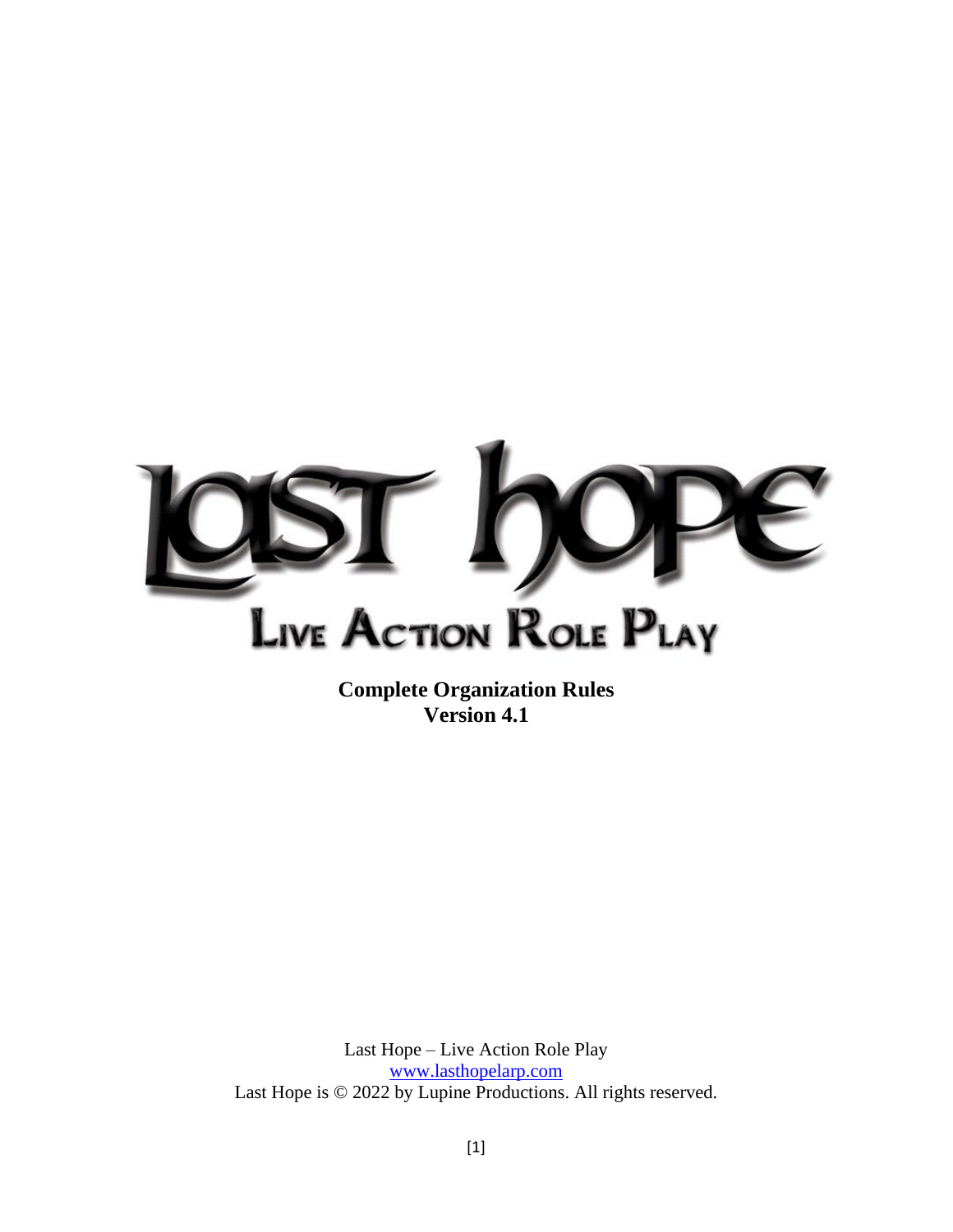

**Complete Organization Rules Version 4.1**

Last Hope – Live Action Role Play [www.lasthopelarp.com](http://www.lasthopelarp.com/) Last Hope is © 2022 by Lupine Productions. All rights reserved.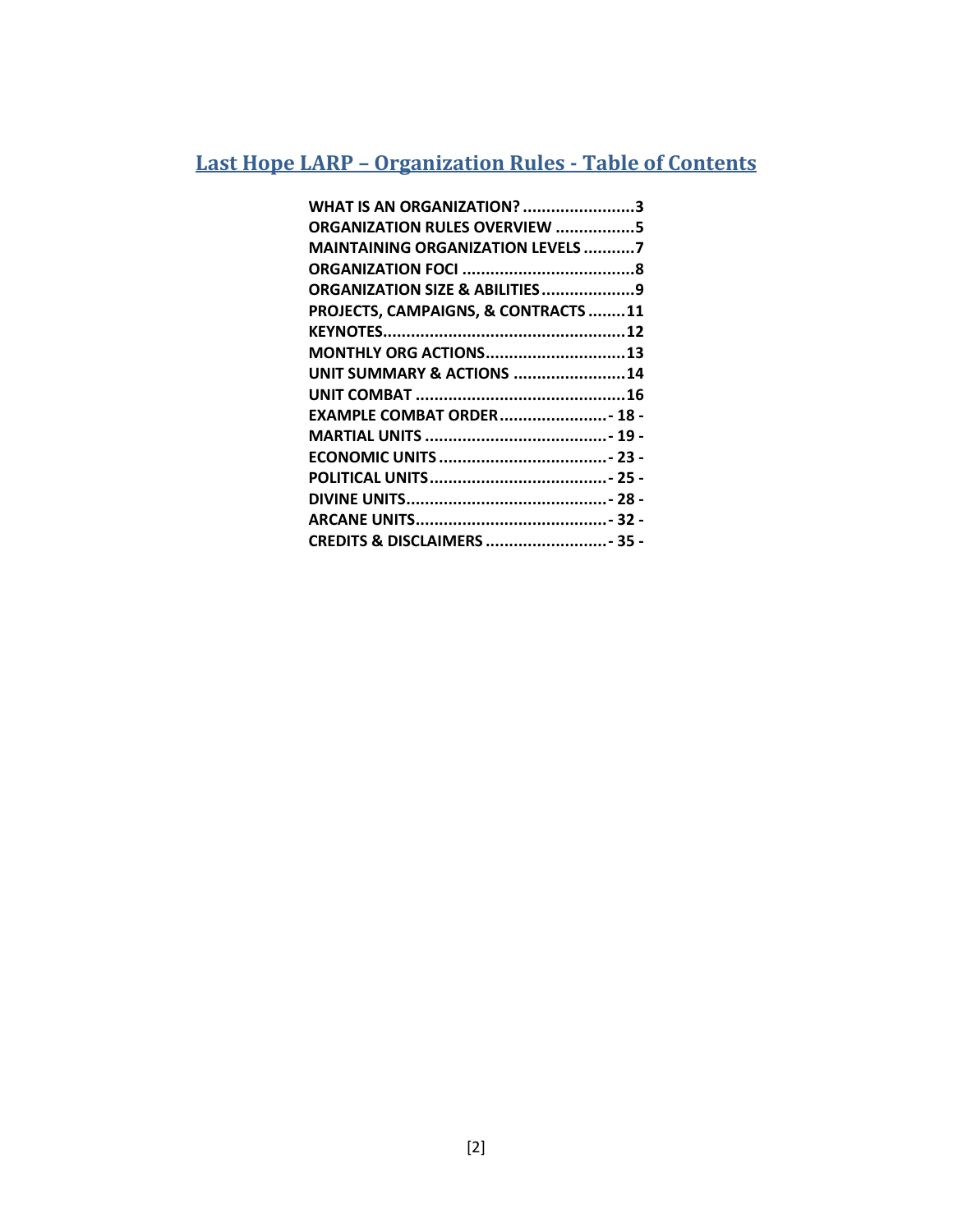### **Last Hope LARP – Organization Rules - Table of Contents**

| <b>WHAT IS AN ORGANIZATION? 3</b>   |  |
|-------------------------------------|--|
| ORGANIZATION RULES OVERVIEW 5       |  |
| MAINTAINING ORGANIZATION LEVELS 7   |  |
|                                     |  |
| ORGANIZATION SIZE & ABILITIES9      |  |
| PROJECTS, CAMPAIGNS, & CONTRACTS 11 |  |
|                                     |  |
| MONTHLY ORG ACTIONS13               |  |
| UNIT SUMMARY & ACTIONS 14           |  |
|                                     |  |
| EXAMPLE COMBAT ORDER 18 -           |  |
|                                     |  |
|                                     |  |
|                                     |  |
|                                     |  |
|                                     |  |
| CREDITS & DISCLAIMERS  - 35 -       |  |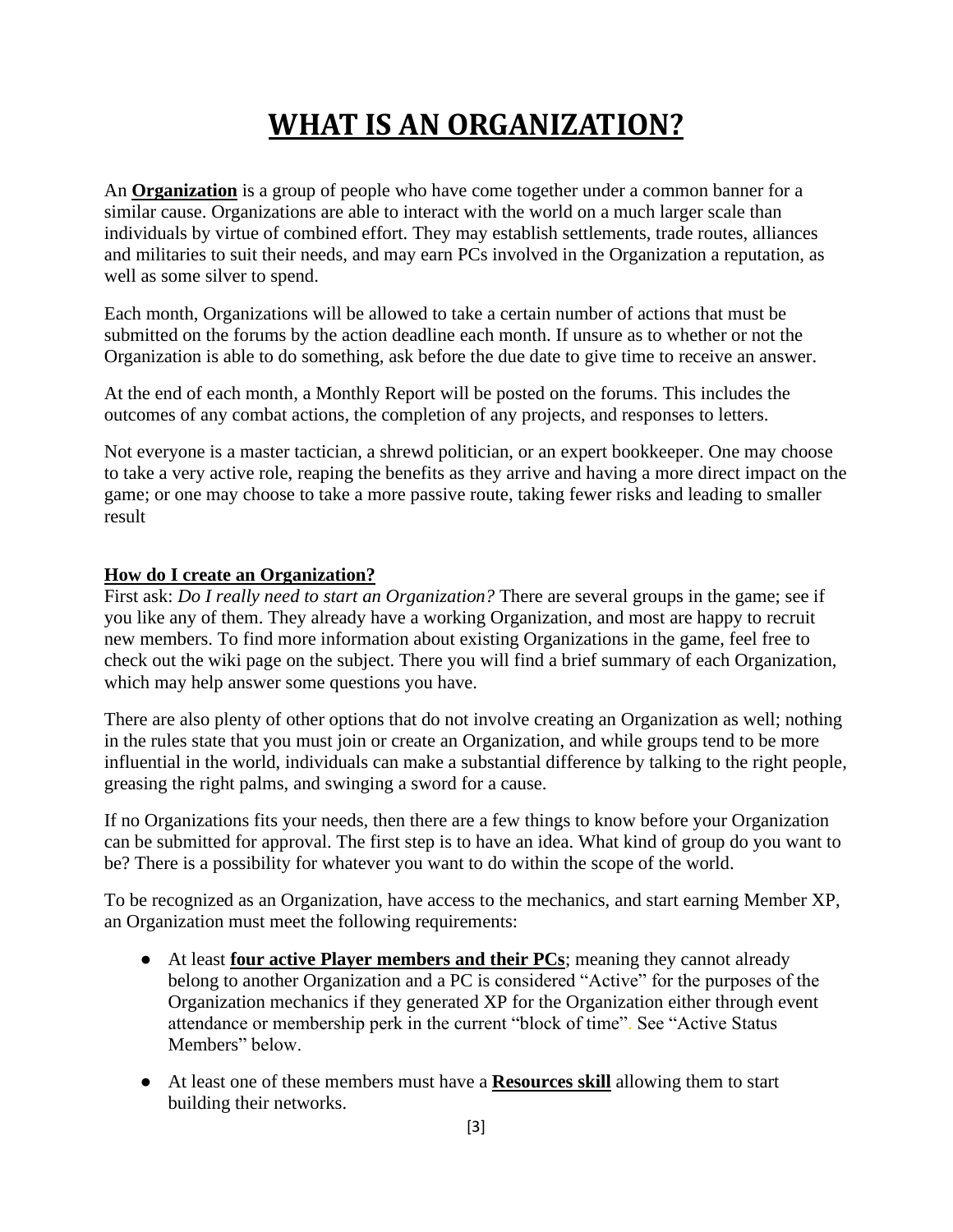## **WHAT IS AN ORGANIZATION?**

<span id="page-2-0"></span>An **Organization** is a group of people who have come together under a common banner for a similar cause. Organizations are able to interact with the world on a much larger scale than individuals by virtue of combined effort. They may establish settlements, trade routes, alliances and militaries to suit their needs, and may earn PCs involved in the Organization a reputation, as well as some silver to spend.

Each month, Organizations will be allowed to take a certain number of actions that must be submitted on the forums by the action deadline each month. If unsure as to whether or not the Organization is able to do something, ask before the due date to give time to receive an answer.

At the end of each month, a Monthly Report will be posted on the forums. This includes the outcomes of any combat actions, the completion of any projects, and responses to letters.

Not everyone is a master tactician, a shrewd politician, or an expert bookkeeper. One may choose to take a very active role, reaping the benefits as they arrive and having a more direct impact on the game; or one may choose to take a more passive route, taking fewer risks and leading to smaller result

#### **How do I create an Organization?**

First ask: *Do I really need to start an Organization?* There are several groups in the game; see if you like any of them. They already have a working Organization, and most are happy to recruit new members. To find more information about existing Organizations in the game, feel free to check out the wiki page on the subject. There you will find a brief summary of each Organization, which may help answer some questions you have.

There are also plenty of other options that do not involve creating an Organization as well; nothing in the rules state that you must join or create an Organization, and while groups tend to be more influential in the world, individuals can make a substantial difference by talking to the right people, greasing the right palms, and swinging a sword for a cause.

If no Organizations fits your needs, then there are a few things to know before your Organization can be submitted for approval. The first step is to have an idea. What kind of group do you want to be? There is a possibility for whatever you want to do within the scope of the world.

To be recognized as an Organization, have access to the mechanics, and start earning Member XP, an Organization must meet the following requirements:

- At least **four active Player members and their PCs**; meaning they cannot already belong to another Organization and a PC is considered "Active" for the purposes of the Organization mechanics if they generated XP for the Organization either through event attendance or membership perk in the current "block of time". See "Active Status Members" below.
- At least one of these members must have a **Resources skill** allowing them to start building their networks.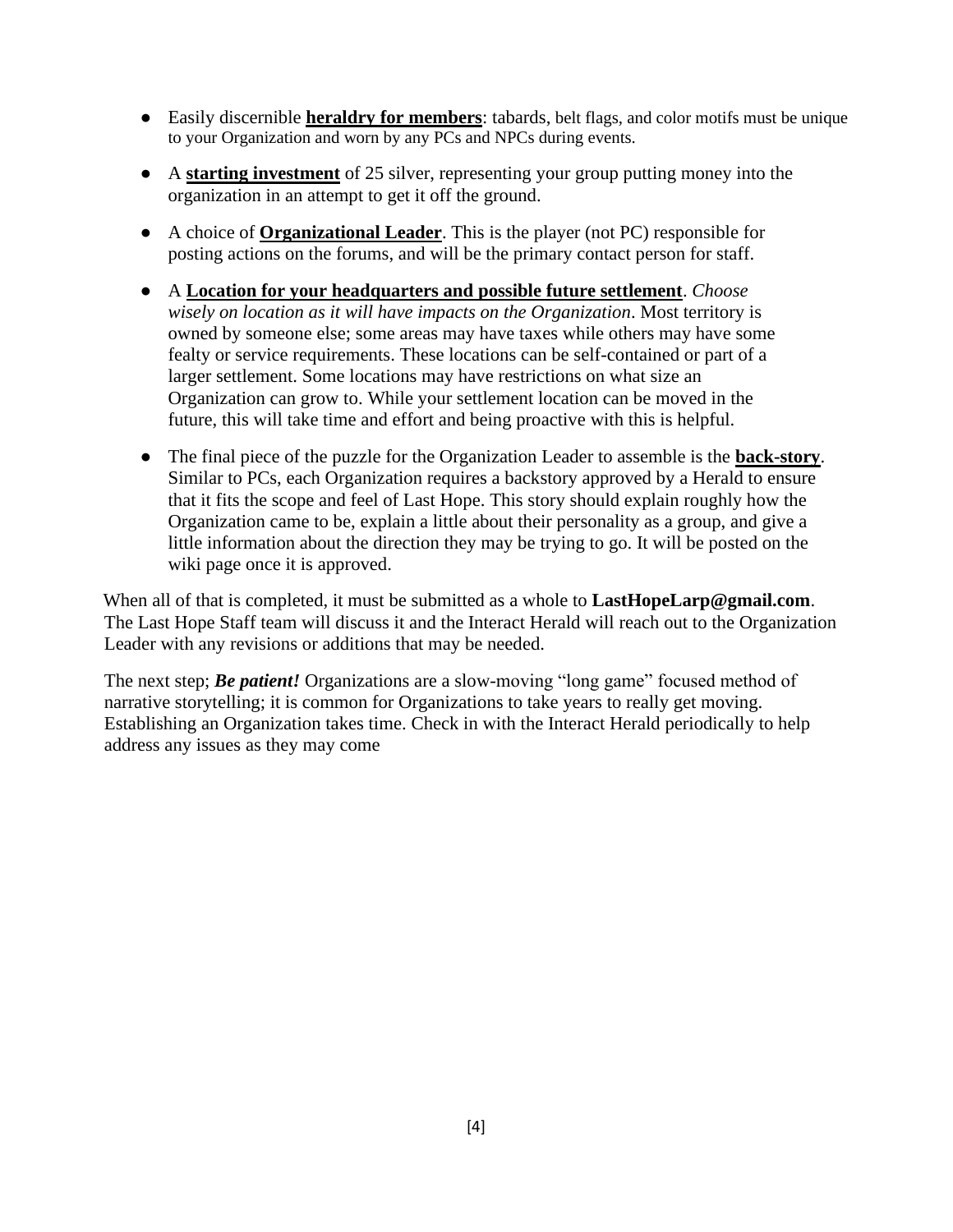- Easily discernible **heraldry for members**: tabards, belt flags, and color motifs must be unique to your Organization and worn by any PCs and NPCs during events.
- A **starting investment** of 25 silver, representing your group putting money into the organization in an attempt to get it off the ground.
- A choice of **Organizational Leader**. This is the player (not PC) responsible for posting actions on the forums, and will be the primary contact person for staff.
- A **Location for your headquarters and possible future settlement**. *Choose wisely on location as it will have impacts on the Organization*. Most territory is owned by someone else; some areas may have taxes while others may have some fealty or service requirements. These locations can be self-contained or part of a larger settlement. Some locations may have restrictions on what size an Organization can grow to. While your settlement location can be moved in the future, this will take time and effort and being proactive with this is helpful.
- The final piece of the puzzle for the Organization Leader to assemble is the **back-story**. Similar to PCs, each Organization requires a backstory approved by a Herald to ensure that it fits the scope and feel of Last Hope. This story should explain roughly how the Organization came to be, explain a little about their personality as a group, and give a little information about the direction they may be trying to go. It will be posted on the wiki page once it is approved.

When all of that is completed, it must be submitted as a whole to **LastHopeLarp@gmail.com**. The Last Hope Staff team will discuss it and the Interact Herald will reach out to the Organization Leader with any revisions or additions that may be needed.

The next step; *Be patient!* Organizations are a slow-moving "long game" focused method of narrative storytelling; it is common for Organizations to take years to really get moving. Establishing an Organization takes time. Check in with the Interact Herald periodically to help address any issues as they may come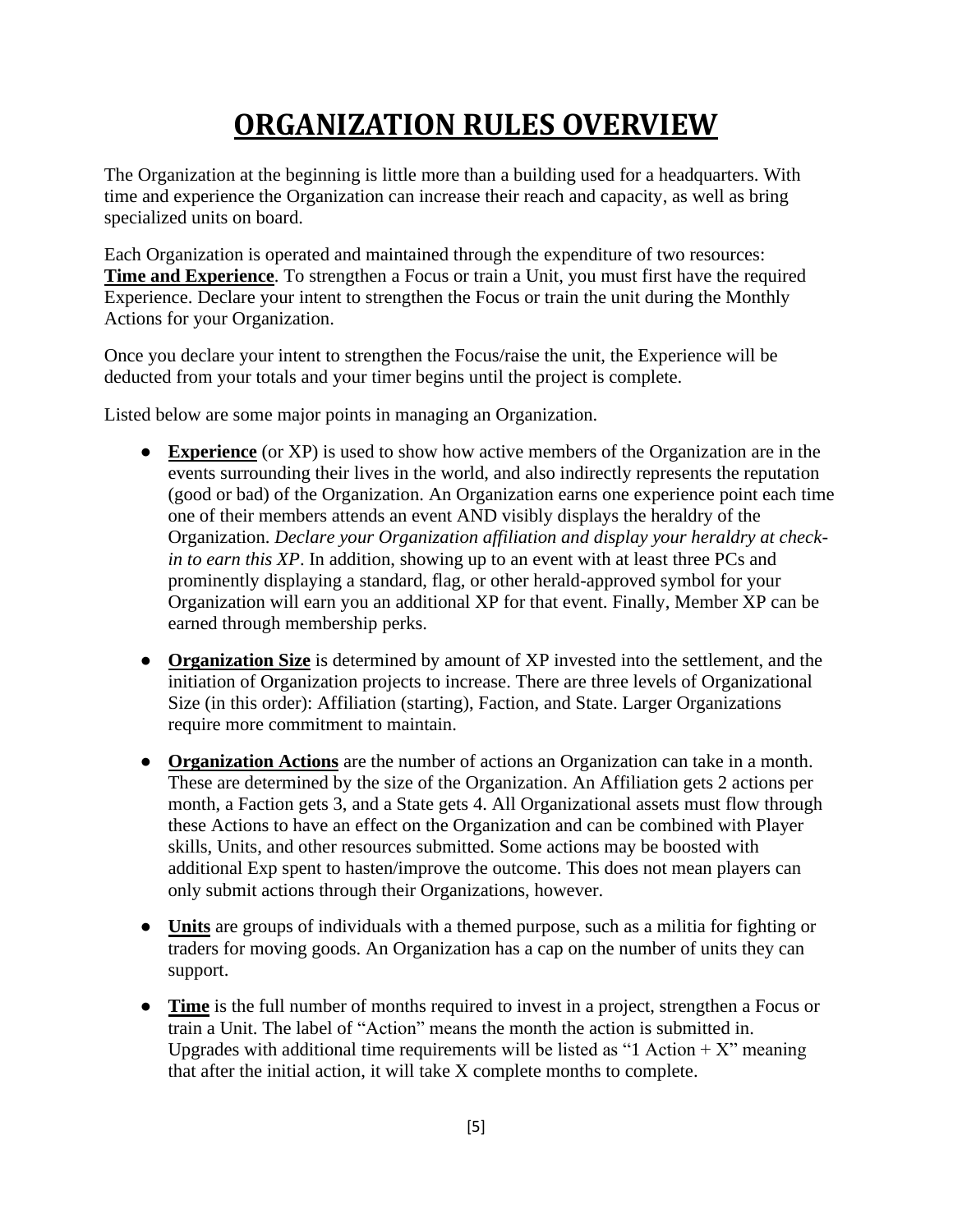## **ORGANIZATION RULES OVERVIEW**

<span id="page-4-0"></span>The Organization at the beginning is little more than a building used for a headquarters. With time and experience the Organization can increase their reach and capacity, as well as bring specialized units on board.

Each Organization is operated and maintained through the expenditure of two resources: **Time and Experience**. To strengthen a Focus or train a Unit, you must first have the required Experience. Declare your intent to strengthen the Focus or train the unit during the Monthly Actions for your Organization.

Once you declare your intent to strengthen the Focus/raise the unit, the Experience will be deducted from your totals and your timer begins until the project is complete.

Listed below are some major points in managing an Organization.

- **Experience** (or XP) is used to show how active members of the Organization are in the events surrounding their lives in the world, and also indirectly represents the reputation (good or bad) of the Organization. An Organization earns one experience point each time one of their members attends an event AND visibly displays the heraldry of the Organization. *Declare your Organization affiliation and display your heraldry at checkin to earn this XP*. In addition, showing up to an event with at least three PCs and prominently displaying a standard, flag, or other herald-approved symbol for your Organization will earn you an additional XP for that event. Finally, Member XP can be earned through membership perks.
- **Organization Size** is determined by amount of XP invested into the settlement, and the initiation of Organization projects to increase. There are three levels of Organizational Size (in this order): Affiliation (starting), Faction, and State. Larger Organizations require more commitment to maintain.
- **Organization Actions** are the number of actions an Organization can take in a month. These are determined by the size of the Organization. An Affiliation gets 2 actions per month, a Faction gets 3, and a State gets 4. All Organizational assets must flow through these Actions to have an effect on the Organization and can be combined with Player skills, Units, and other resources submitted. Some actions may be boosted with additional Exp spent to hasten/improve the outcome. This does not mean players can only submit actions through their Organizations, however.
- **Units** are groups of individuals with a themed purpose, such as a militia for fighting or traders for moving goods. An Organization has a cap on the number of units they can support.
- **Time** is the full number of months required to invest in a project, strengthen a Focus or train a Unit. The label of "Action" means the month the action is submitted in. Upgrades with additional time requirements will be listed as "1 Action  $+ X$ " meaning that after the initial action, it will take X complete months to complete.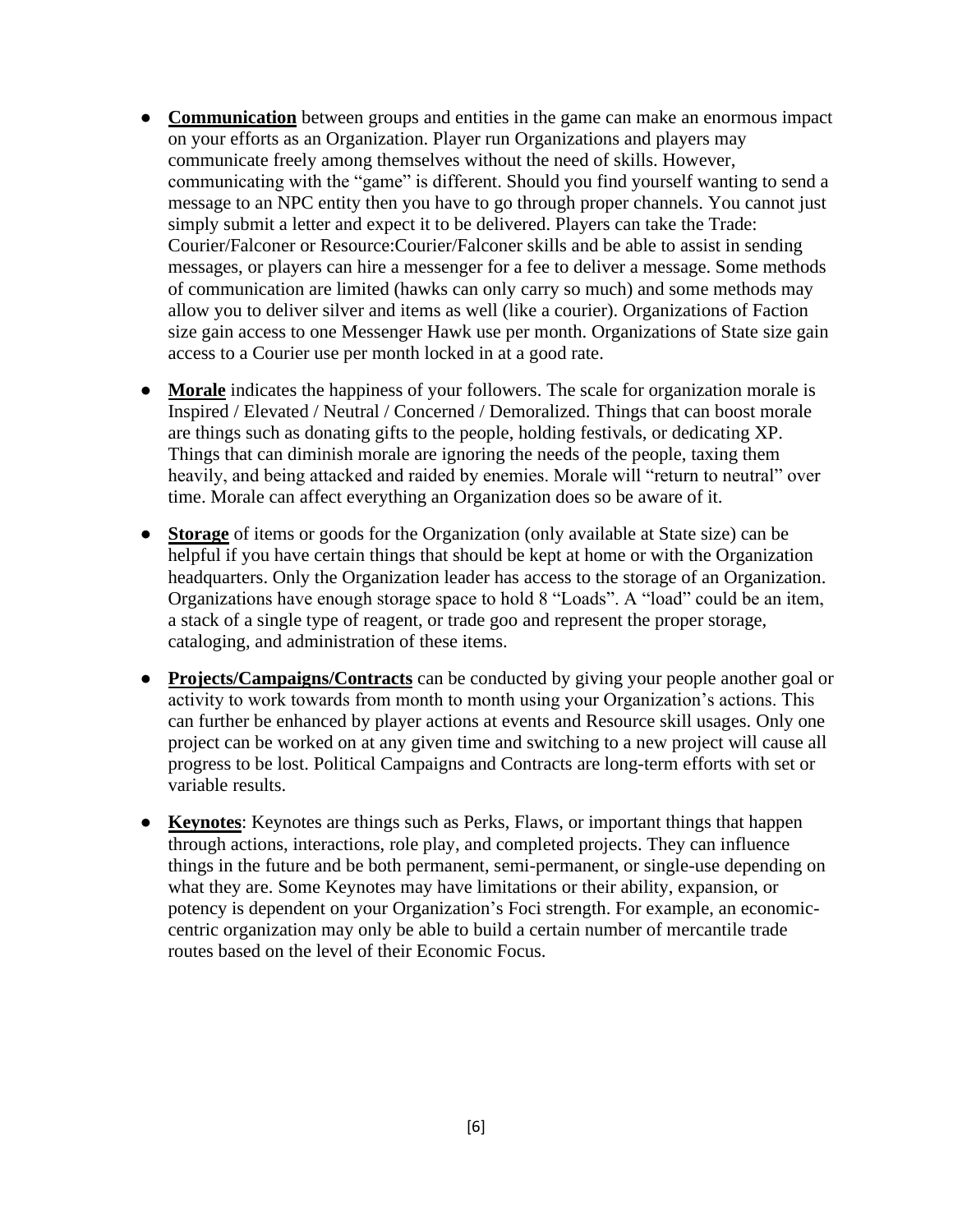- **Communication** between groups and entities in the game can make an enormous impact on your efforts as an Organization. Player run Organizations and players may communicate freely among themselves without the need of skills. However, communicating with the "game" is different. Should you find yourself wanting to send a message to an NPC entity then you have to go through proper channels. You cannot just simply submit a letter and expect it to be delivered. Players can take the Trade: Courier/Falconer or Resource:Courier/Falconer skills and be able to assist in sending messages, or players can hire a messenger for a fee to deliver a message. Some methods of communication are limited (hawks can only carry so much) and some methods may allow you to deliver silver and items as well (like a courier). Organizations of Faction size gain access to one Messenger Hawk use per month. Organizations of State size gain access to a Courier use per month locked in at a good rate.
- **Morale** indicates the happiness of your followers. The scale for organization morale is Inspired / Elevated / Neutral / Concerned / Demoralized. Things that can boost morale are things such as donating gifts to the people, holding festivals, or dedicating XP. Things that can diminish morale are ignoring the needs of the people, taxing them heavily, and being attacked and raided by enemies. Morale will "return to neutral" over time. Morale can affect everything an Organization does so be aware of it.
- **Storage** of items or goods for the Organization (only available at State size) can be helpful if you have certain things that should be kept at home or with the Organization headquarters. Only the Organization leader has access to the storage of an Organization. Organizations have enough storage space to hold 8 "Loads". A "load" could be an item, a stack of a single type of reagent, or trade goo and represent the proper storage, cataloging, and administration of these items.
- **Projects/Campaigns/Contracts** can be conducted by giving your people another goal or activity to work towards from month to month using your Organization's actions. This can further be enhanced by player actions at events and Resource skill usages. Only one project can be worked on at any given time and switching to a new project will cause all progress to be lost. Political Campaigns and Contracts are long-term efforts with set or variable results.
- **Keynotes**: Keynotes are things such as Perks, Flaws, or important things that happen through actions, interactions, role play, and completed projects. They can influence things in the future and be both permanent, semi-permanent, or single-use depending on what they are. Some Keynotes may have limitations or their ability, expansion, or potency is dependent on your Organization's Foci strength. For example, an economiccentric organization may only be able to build a certain number of mercantile trade routes based on the level of their Economic Focus.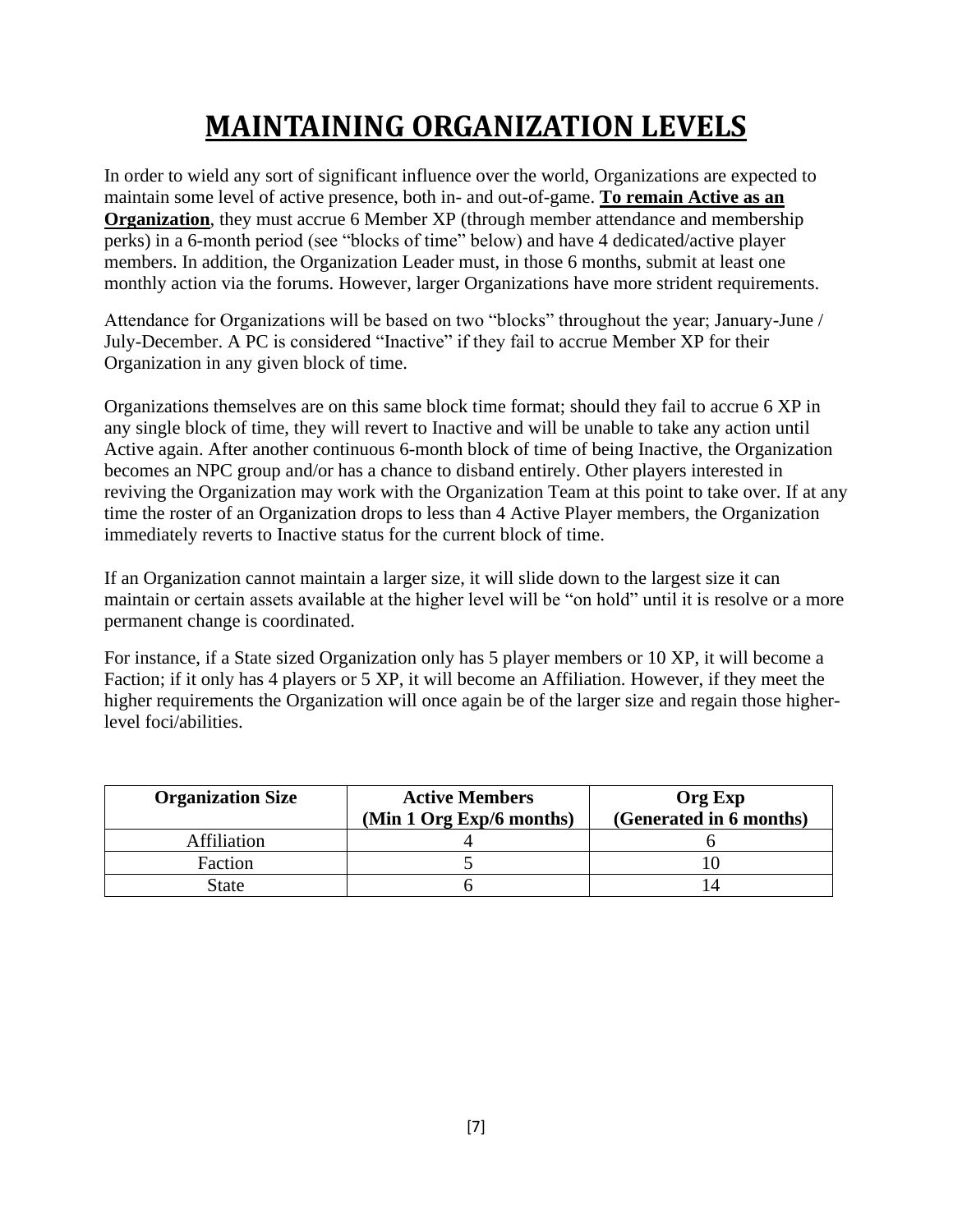# **MAINTAINING ORGANIZATION LEVELS**

<span id="page-6-0"></span>In order to wield any sort of significant influence over the world, Organizations are expected to maintain some level of active presence, both in- and out-of-game. **To remain Active as an Organization**, they must accrue 6 Member XP (through member attendance and membership perks) in a 6-month period (see "blocks of time" below) and have 4 dedicated/active player members. In addition, the Organization Leader must, in those 6 months, submit at least one monthly action via the forums. However, larger Organizations have more strident requirements.

Attendance for Organizations will be based on two "blocks" throughout the year; January-June / July-December. A PC is considered "Inactive" if they fail to accrue Member XP for their Organization in any given block of time.

Organizations themselves are on this same block time format; should they fail to accrue 6 XP in any single block of time, they will revert to Inactive and will be unable to take any action until Active again. After another continuous 6-month block of time of being Inactive, the Organization becomes an NPC group and/or has a chance to disband entirely. Other players interested in reviving the Organization may work with the Organization Team at this point to take over. If at any time the roster of an Organization drops to less than 4 Active Player members, the Organization immediately reverts to Inactive status for the current block of time.

If an Organization cannot maintain a larger size, it will slide down to the largest size it can maintain or certain assets available at the higher level will be "on hold" until it is resolve or a more permanent change is coordinated.

For instance, if a State sized Organization only has 5 player members or 10 XP, it will become a Faction; if it only has 4 players or 5 XP, it will become an Affiliation. However, if they meet the higher requirements the Organization will once again be of the larger size and regain those higherlevel foci/abilities.

| <b>Organization Size</b> | <b>Active Members</b><br>(Min 1 Org Exp/6 months) | <b>Org Exp</b><br>(Generated in 6 months) |  |
|--------------------------|---------------------------------------------------|-------------------------------------------|--|
| Affiliation              |                                                   |                                           |  |
| Faction                  |                                                   |                                           |  |
| State                    |                                                   |                                           |  |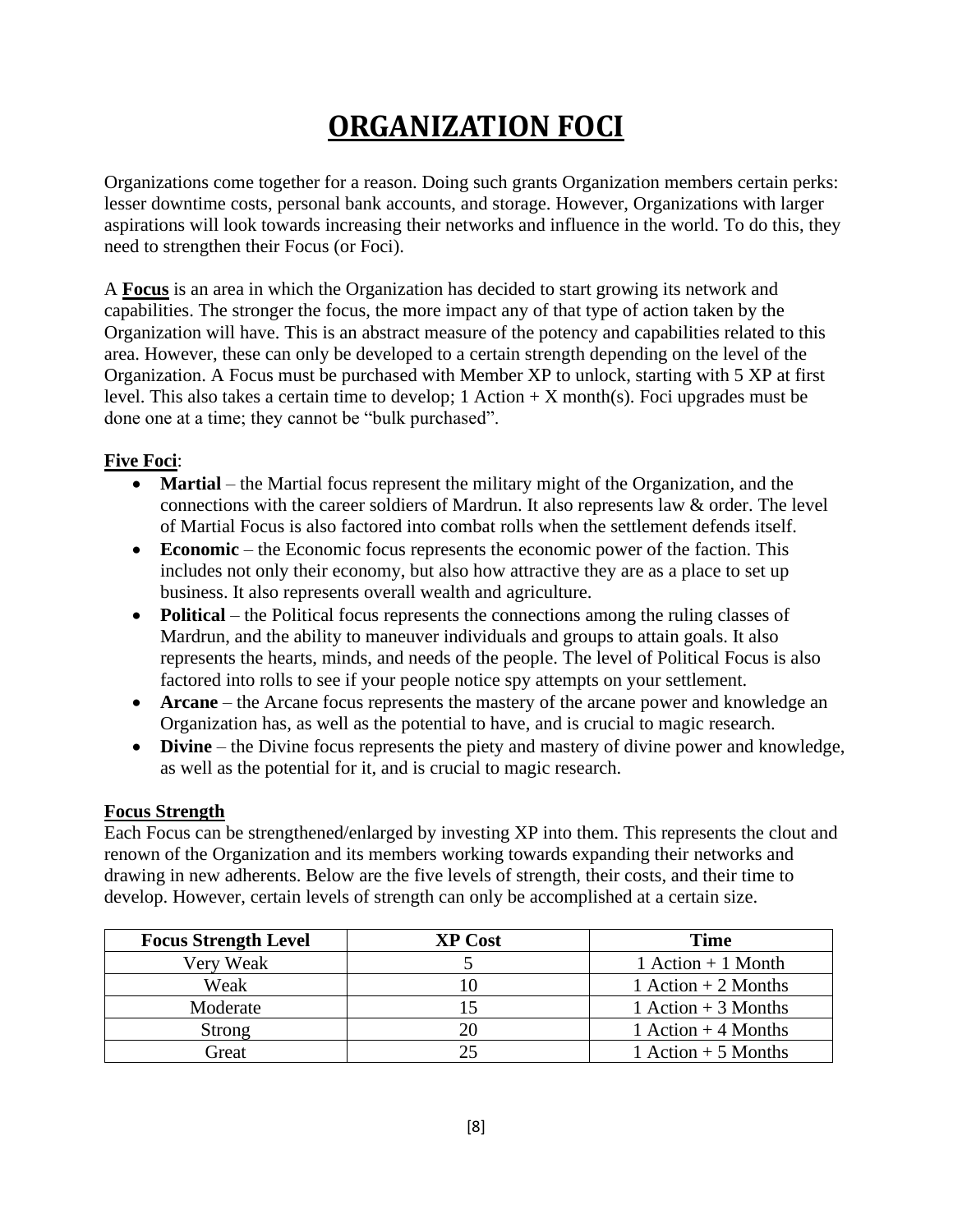# **ORGANIZATION FOCI**

<span id="page-7-0"></span>Organizations come together for a reason. Doing such grants Organization members certain perks: lesser downtime costs, personal bank accounts, and storage. However, Organizations with larger aspirations will look towards increasing their networks and influence in the world. To do this, they need to strengthen their Focus (or Foci).

A **Focus** is an area in which the Organization has decided to start growing its network and capabilities. The stronger the focus, the more impact any of that type of action taken by the Organization will have. This is an abstract measure of the potency and capabilities related to this area. However, these can only be developed to a certain strength depending on the level of the Organization. A Focus must be purchased with Member XP to unlock, starting with 5 XP at first level. This also takes a certain time to develop;  $1$  Action  $+ X$  month(s). Foci upgrades must be done one at a time; they cannot be "bulk purchased".

### **Five Foci**:

- **Martial** the Martial focus represent the military might of the Organization, and the connections with the career soldiers of Mardrun. It also represents law & order. The level of Martial Focus is also factored into combat rolls when the settlement defends itself.
- **Economic** the Economic focus represents the economic power of the faction. This includes not only their economy, but also how attractive they are as a place to set up business. It also represents overall wealth and agriculture.
- **Political** the Political focus represents the connections among the ruling classes of Mardrun, and the ability to maneuver individuals and groups to attain goals. It also represents the hearts, minds, and needs of the people. The level of Political Focus is also factored into rolls to see if your people notice spy attempts on your settlement.
- **Arcane** the Arcane focus represents the mastery of the arcane power and knowledge an Organization has, as well as the potential to have, and is crucial to magic research.
- **Divine** the Divine focus represents the piety and mastery of divine power and knowledge, as well as the potential for it, and is crucial to magic research.

#### **Focus Strength**

Each Focus can be strengthened/enlarged by investing XP into them. This represents the clout and renown of the Organization and its members working towards expanding their networks and drawing in new adherents. Below are the five levels of strength, their costs, and their time to develop. However, certain levels of strength can only be accomplished at a certain size.

| <b>Focus Strength Level</b> | <b>XP Cost</b> | <b>Time</b>          |
|-----------------------------|----------------|----------------------|
| Very Weak                   |                | $1$ Action + 1 Month |
| Weak                        |                | 1 Action $+2$ Months |
| Moderate                    |                | 1 Action $+3$ Months |
| Strong                      |                | 1 Action $+4$ Months |
| Great                       |                | 1 Action $+5$ Months |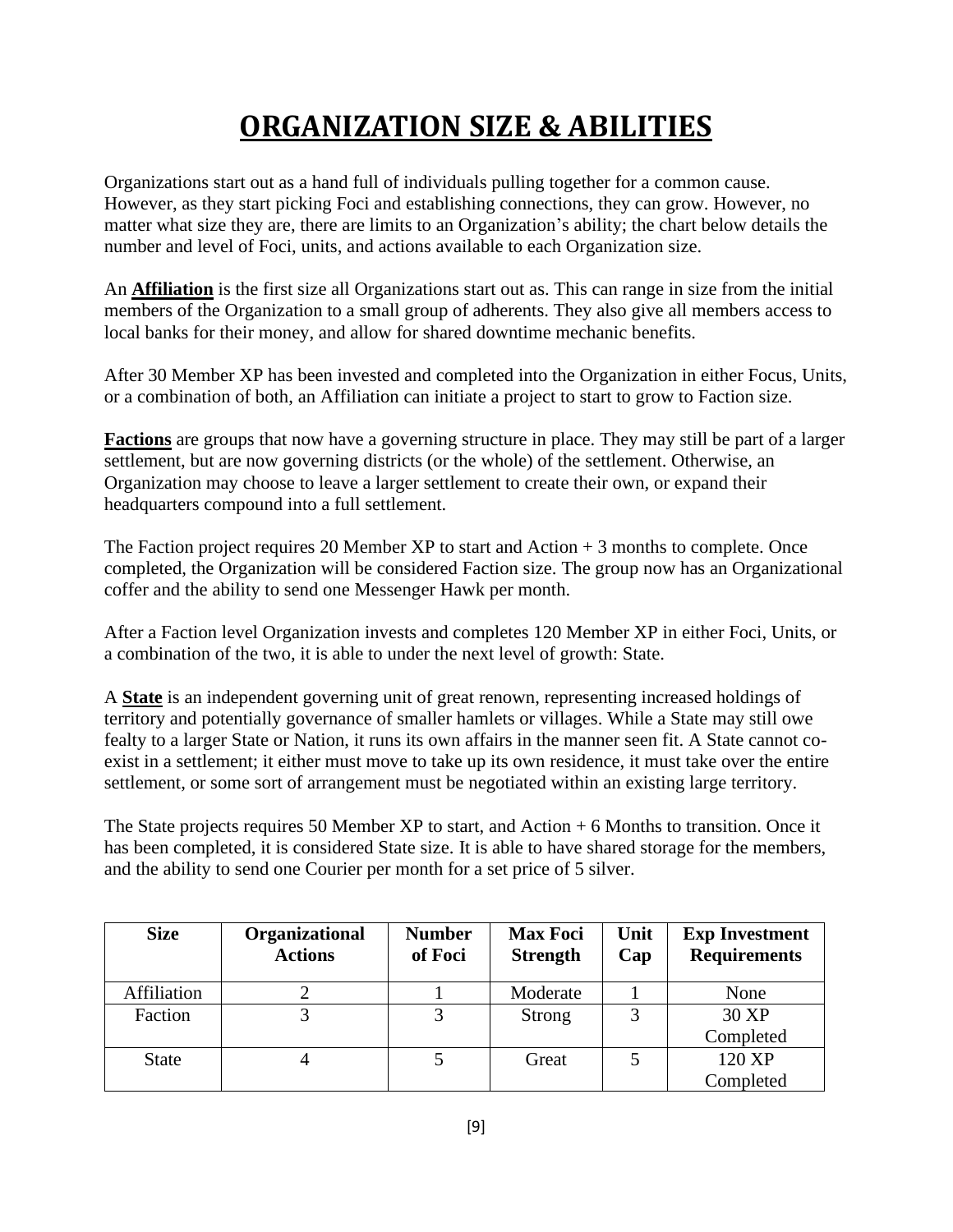# **ORGANIZATION SIZE & ABILITIES**

<span id="page-8-0"></span>Organizations start out as a hand full of individuals pulling together for a common cause. However, as they start picking Foci and establishing connections, they can grow. However, no matter what size they are, there are limits to an Organization's ability; the chart below details the number and level of Foci, units, and actions available to each Organization size.

An **Affiliation** is the first size all Organizations start out as. This can range in size from the initial members of the Organization to a small group of adherents. They also give all members access to local banks for their money, and allow for shared downtime mechanic benefits.

After 30 Member XP has been invested and completed into the Organization in either Focus, Units, or a combination of both, an Affiliation can initiate a project to start to grow to Faction size.

**Factions** are groups that now have a governing structure in place. They may still be part of a larger settlement, but are now governing districts (or the whole) of the settlement. Otherwise, an Organization may choose to leave a larger settlement to create their own, or expand their headquarters compound into a full settlement.

The Faction project requires 20 Member XP to start and Action  $+3$  months to complete. Once completed, the Organization will be considered Faction size. The group now has an Organizational coffer and the ability to send one Messenger Hawk per month.

After a Faction level Organization invests and completes 120 Member XP in either Foci, Units, or a combination of the two, it is able to under the next level of growth: State.

A **State** is an independent governing unit of great renown, representing increased holdings of territory and potentially governance of smaller hamlets or villages. While a State may still owe fealty to a larger State or Nation, it runs its own affairs in the manner seen fit. A State cannot coexist in a settlement; it either must move to take up its own residence, it must take over the entire settlement, or some sort of arrangement must be negotiated within an existing large territory.

The State projects requires 50 Member XP to start, and Action + 6 Months to transition. Once it has been completed, it is considered State size. It is able to have shared storage for the members, and the ability to send one Courier per month for a set price of 5 silver.

| <b>Size</b>  | Organizational<br><b>Actions</b> | <b>Number</b><br>of Foci | <b>Max Foci</b><br><b>Strength</b> | Unit<br>Cap | <b>Exp Investment</b><br><b>Requirements</b> |
|--------------|----------------------------------|--------------------------|------------------------------------|-------------|----------------------------------------------|
| Affiliation  |                                  |                          | Moderate                           |             | None                                         |
| Faction      |                                  | 3                        | <b>Strong</b>                      | 3           | 30 XP                                        |
|              |                                  |                          |                                    |             | Completed                                    |
| <b>State</b> |                                  |                          | Great                              |             | 120 XP                                       |
|              |                                  |                          |                                    |             | Completed                                    |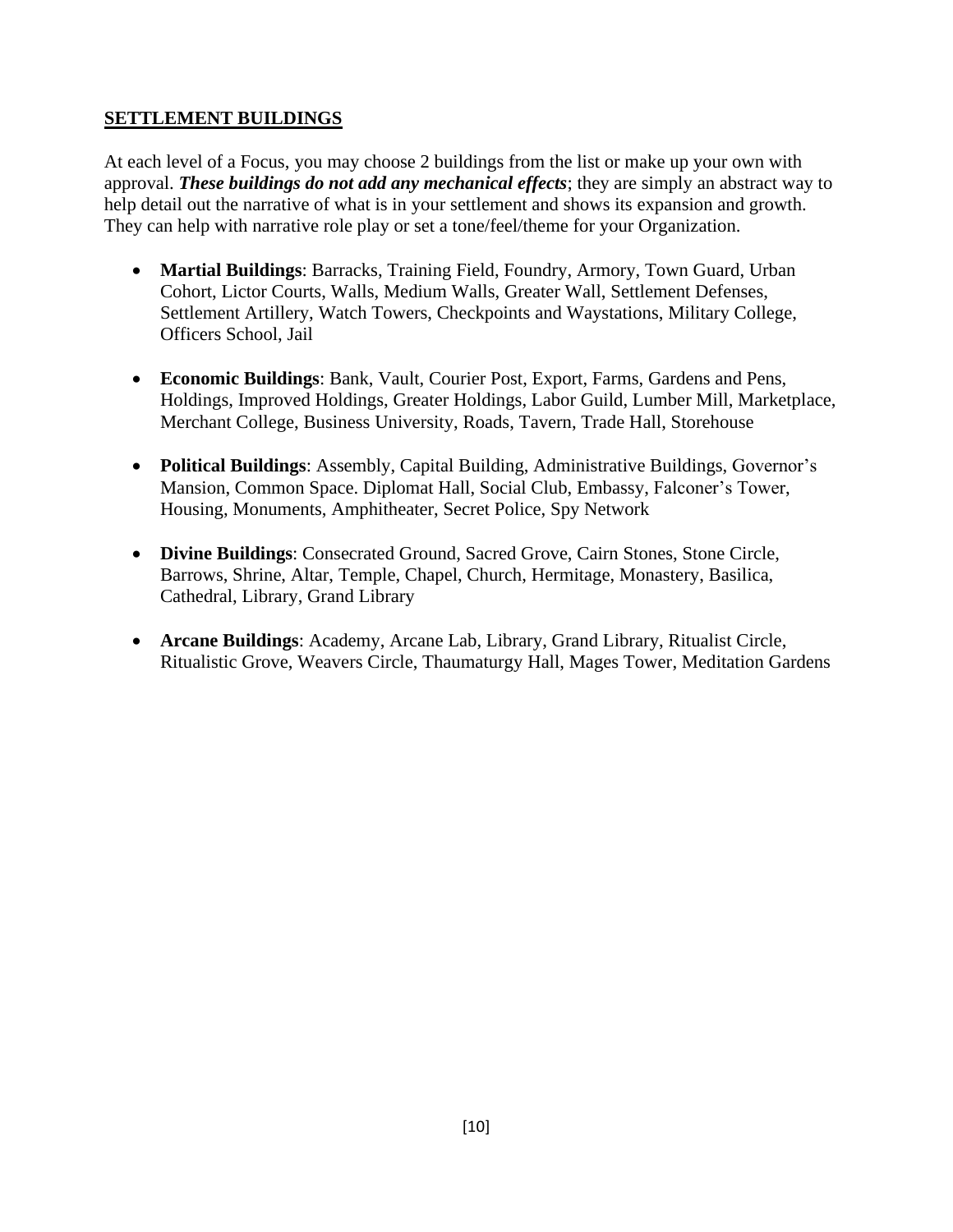#### **SETTLEMENT BUILDINGS**

At each level of a Focus, you may choose 2 buildings from the list or make up your own with approval. *These buildings do not add any mechanical effects*; they are simply an abstract way to help detail out the narrative of what is in your settlement and shows its expansion and growth. They can help with narrative role play or set a tone/feel/theme for your Organization.

- **Martial Buildings**: Barracks, Training Field, Foundry, Armory, Town Guard, Urban Cohort, Lictor Courts, Walls, Medium Walls, Greater Wall, Settlement Defenses, Settlement Artillery, Watch Towers, Checkpoints and Waystations, Military College, Officers School, Jail
- **Economic Buildings**: Bank, Vault, Courier Post, Export, Farms, Gardens and Pens, Holdings, Improved Holdings, Greater Holdings, Labor Guild, Lumber Mill, Marketplace, Merchant College, Business University, Roads, Tavern, Trade Hall, Storehouse
- **Political Buildings**: Assembly, Capital Building, Administrative Buildings, Governor's Mansion, Common Space. Diplomat Hall, Social Club, Embassy, Falconer's Tower, Housing, Monuments, Amphitheater, Secret Police, Spy Network
- **Divine Buildings**: Consecrated Ground, Sacred Grove, Cairn Stones, Stone Circle, Barrows, Shrine, Altar, Temple, Chapel, Church, Hermitage, Monastery, Basilica, Cathedral, Library, Grand Library
- **Arcane Buildings**: Academy, Arcane Lab, Library, Grand Library, Ritualist Circle, Ritualistic Grove, Weavers Circle, Thaumaturgy Hall, Mages Tower, Meditation Gardens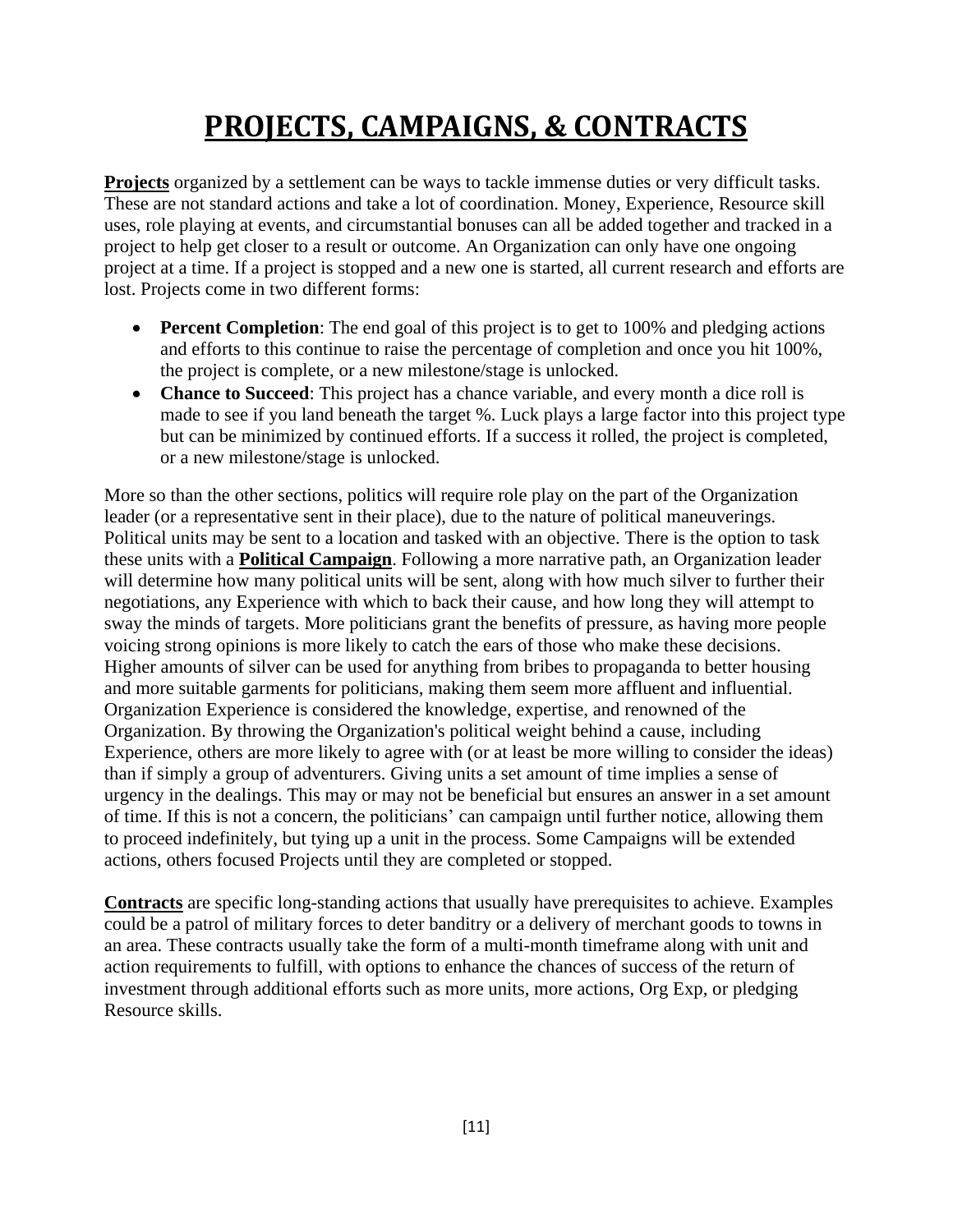# **PROJECTS, CAMPAIGNS, & CONTRACTS**

<span id="page-10-0"></span>**Projects** organized by a settlement can be ways to tackle immense duties or very difficult tasks. These are not standard actions and take a lot of coordination. Money, Experience, Resource skill uses, role playing at events, and circumstantial bonuses can all be added together and tracked in a project to help get closer to a result or outcome. An Organization can only have one ongoing project at a time. If a project is stopped and a new one is started, all current research and efforts are lost. Projects come in two different forms:

- **Percent Completion**: The end goal of this project is to get to 100% and pledging actions and efforts to this continue to raise the percentage of completion and once you hit 100%, the project is complete, or a new milestone/stage is unlocked.
- **Chance to Succeed**: This project has a chance variable, and every month a dice roll is made to see if you land beneath the target %. Luck plays a large factor into this project type but can be minimized by continued efforts. If a success it rolled, the project is completed, or a new milestone/stage is unlocked.

More so than the other sections, politics will require role play on the part of the Organization leader (or a representative sent in their place), due to the nature of political maneuverings. Political units may be sent to a location and tasked with an objective. There is the option to task these units with a **Political Campaign**. Following a more narrative path, an Organization leader will determine how many political units will be sent, along with how much silver to further their negotiations, any Experience with which to back their cause, and how long they will attempt to sway the minds of targets. More politicians grant the benefits of pressure, as having more people voicing strong opinions is more likely to catch the ears of those who make these decisions. Higher amounts of silver can be used for anything from bribes to propaganda to better housing and more suitable garments for politicians, making them seem more affluent and influential. Organization Experience is considered the knowledge, expertise, and renowned of the Organization. By throwing the Organization's political weight behind a cause, including Experience, others are more likely to agree with (or at least be more willing to consider the ideas) than if simply a group of adventurers. Giving units a set amount of time implies a sense of urgency in the dealings. This may or may not be beneficial but ensures an answer in a set amount of time. If this is not a concern, the politicians' can campaign until further notice, allowing them to proceed indefinitely, but tying up a unit in the process. Some Campaigns will be extended actions, others focused Projects until they are completed or stopped.

**Contracts** are specific long-standing actions that usually have prerequisites to achieve. Examples could be a patrol of military forces to deter banditry or a delivery of merchant goods to towns in an area. These contracts usually take the form of a multi-month timeframe along with unit and action requirements to fulfill, with options to enhance the chances of success of the return of investment through additional efforts such as more units, more actions, Org Exp, or pledging Resource skills.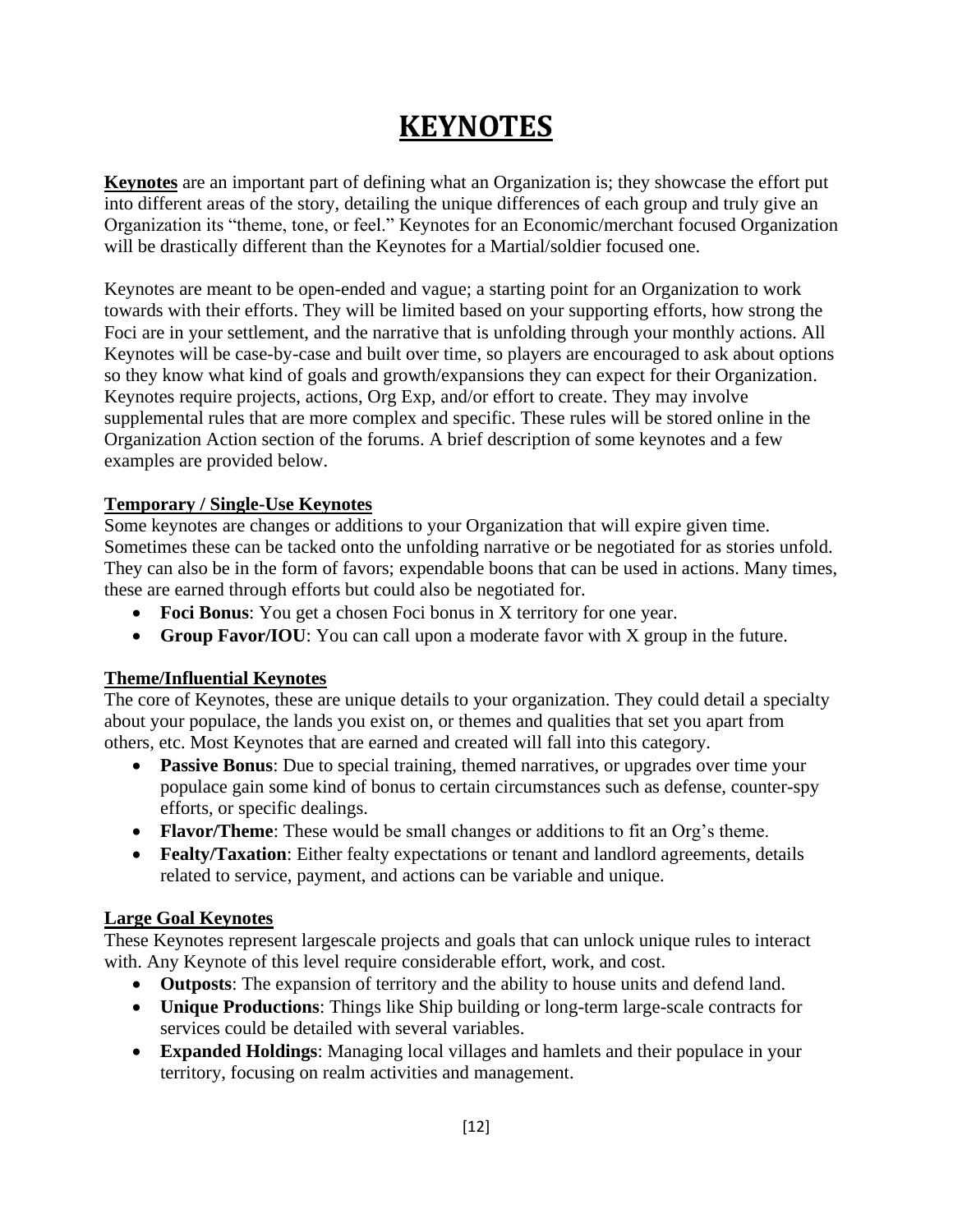### **KEYNOTES**

<span id="page-11-0"></span>**Keynotes** are an important part of defining what an Organization is; they showcase the effort put into different areas of the story, detailing the unique differences of each group and truly give an Organization its "theme, tone, or feel." Keynotes for an Economic/merchant focused Organization will be drastically different than the Keynotes for a Martial/soldier focused one.

Keynotes are meant to be open-ended and vague; a starting point for an Organization to work towards with their efforts. They will be limited based on your supporting efforts, how strong the Foci are in your settlement, and the narrative that is unfolding through your monthly actions. All Keynotes will be case-by-case and built over time, so players are encouraged to ask about options so they know what kind of goals and growth/expansions they can expect for their Organization. Keynotes require projects, actions, Org Exp, and/or effort to create. They may involve supplemental rules that are more complex and specific. These rules will be stored online in the Organization Action section of the forums. A brief description of some keynotes and a few examples are provided below.

#### **Temporary / Single-Use Keynotes**

Some keynotes are changes or additions to your Organization that will expire given time. Sometimes these can be tacked onto the unfolding narrative or be negotiated for as stories unfold. They can also be in the form of favors; expendable boons that can be used in actions. Many times, these are earned through efforts but could also be negotiated for.

- **Foci Bonus**: You get a chosen Foci bonus in X territory for one year.
- **Group Favor/IOU**: You can call upon a moderate favor with X group in the future.

#### **Theme/Influential Keynotes**

The core of Keynotes, these are unique details to your organization. They could detail a specialty about your populace, the lands you exist on, or themes and qualities that set you apart from others, etc. Most Keynotes that are earned and created will fall into this category.

- **Passive Bonus**: Due to special training, themed narratives, or upgrades over time your populace gain some kind of bonus to certain circumstances such as defense, counter-spy efforts, or specific dealings.
- **Flavor/Theme**: These would be small changes or additions to fit an Org's theme.
- **Fealty/Taxation**: Either fealty expectations or tenant and landlord agreements, details related to service, payment, and actions can be variable and unique.

#### **Large Goal Keynotes**

These Keynotes represent largescale projects and goals that can unlock unique rules to interact with. Any Keynote of this level require considerable effort, work, and cost.

- **Outposts**: The expansion of territory and the ability to house units and defend land.
- **Unique Productions**: Things like Ship building or long-term large-scale contracts for services could be detailed with several variables.
- **Expanded Holdings**: Managing local villages and hamlets and their populace in your territory, focusing on realm activities and management.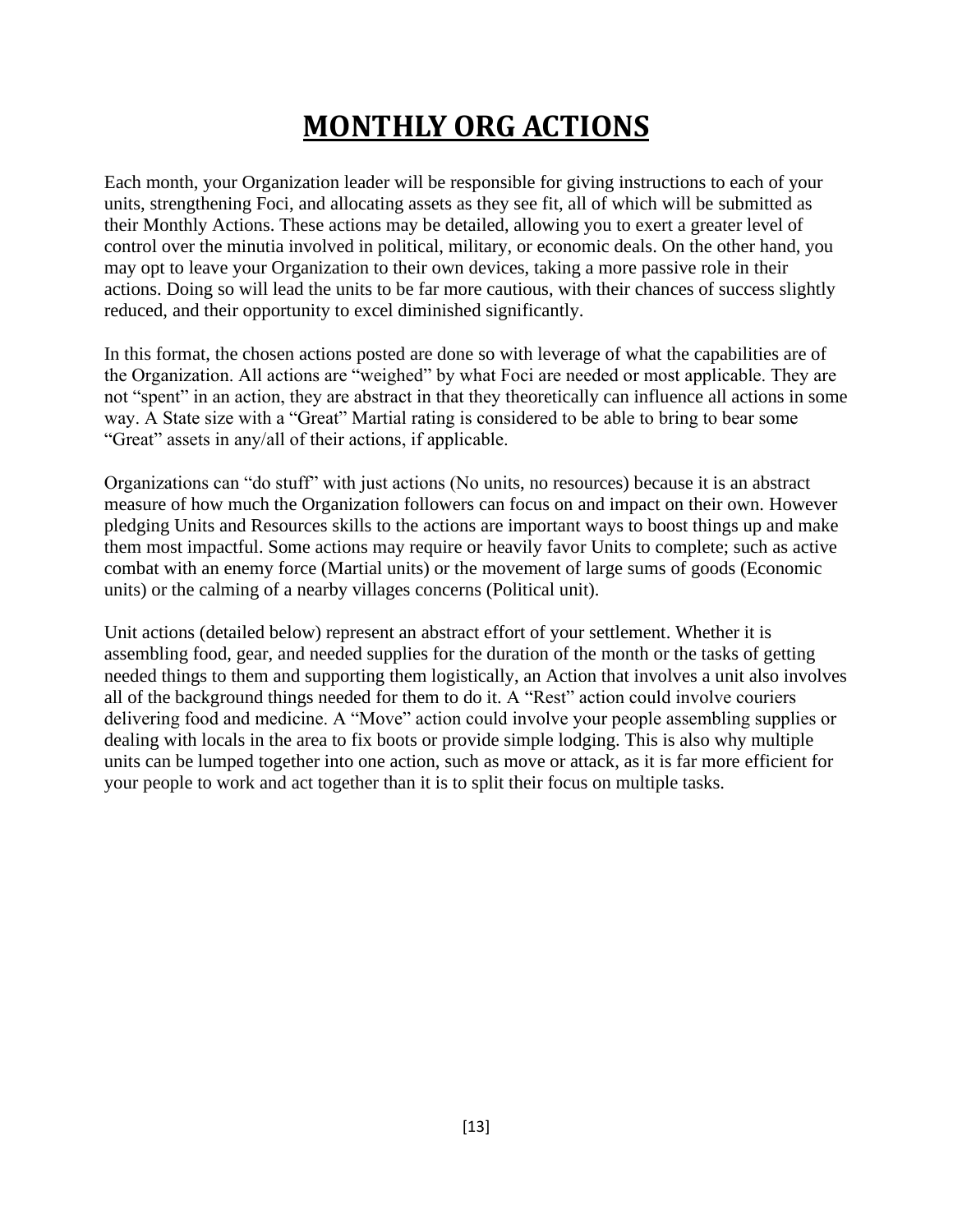### **MONTHLY ORG ACTIONS**

<span id="page-12-0"></span>Each month, your Organization leader will be responsible for giving instructions to each of your units, strengthening Foci, and allocating assets as they see fit, all of which will be submitted as their Monthly Actions. These actions may be detailed, allowing you to exert a greater level of control over the minutia involved in political, military, or economic deals. On the other hand, you may opt to leave your Organization to their own devices, taking a more passive role in their actions. Doing so will lead the units to be far more cautious, with their chances of success slightly reduced, and their opportunity to excel diminished significantly.

In this format, the chosen actions posted are done so with leverage of what the capabilities are of the Organization. All actions are "weighed" by what Foci are needed or most applicable. They are not "spent" in an action, they are abstract in that they theoretically can influence all actions in some way. A State size with a "Great" Martial rating is considered to be able to bring to bear some "Great" assets in any/all of their actions, if applicable.

Organizations can "do stuff" with just actions (No units, no resources) because it is an abstract measure of how much the Organization followers can focus on and impact on their own. However pledging Units and Resources skills to the actions are important ways to boost things up and make them most impactful. Some actions may require or heavily favor Units to complete; such as active combat with an enemy force (Martial units) or the movement of large sums of goods (Economic units) or the calming of a nearby villages concerns (Political unit).

Unit actions (detailed below) represent an abstract effort of your settlement. Whether it is assembling food, gear, and needed supplies for the duration of the month or the tasks of getting needed things to them and supporting them logistically, an Action that involves a unit also involves all of the background things needed for them to do it. A "Rest" action could involve couriers delivering food and medicine. A "Move" action could involve your people assembling supplies or dealing with locals in the area to fix boots or provide simple lodging. This is also why multiple units can be lumped together into one action, such as move or attack, as it is far more efficient for your people to work and act together than it is to split their focus on multiple tasks.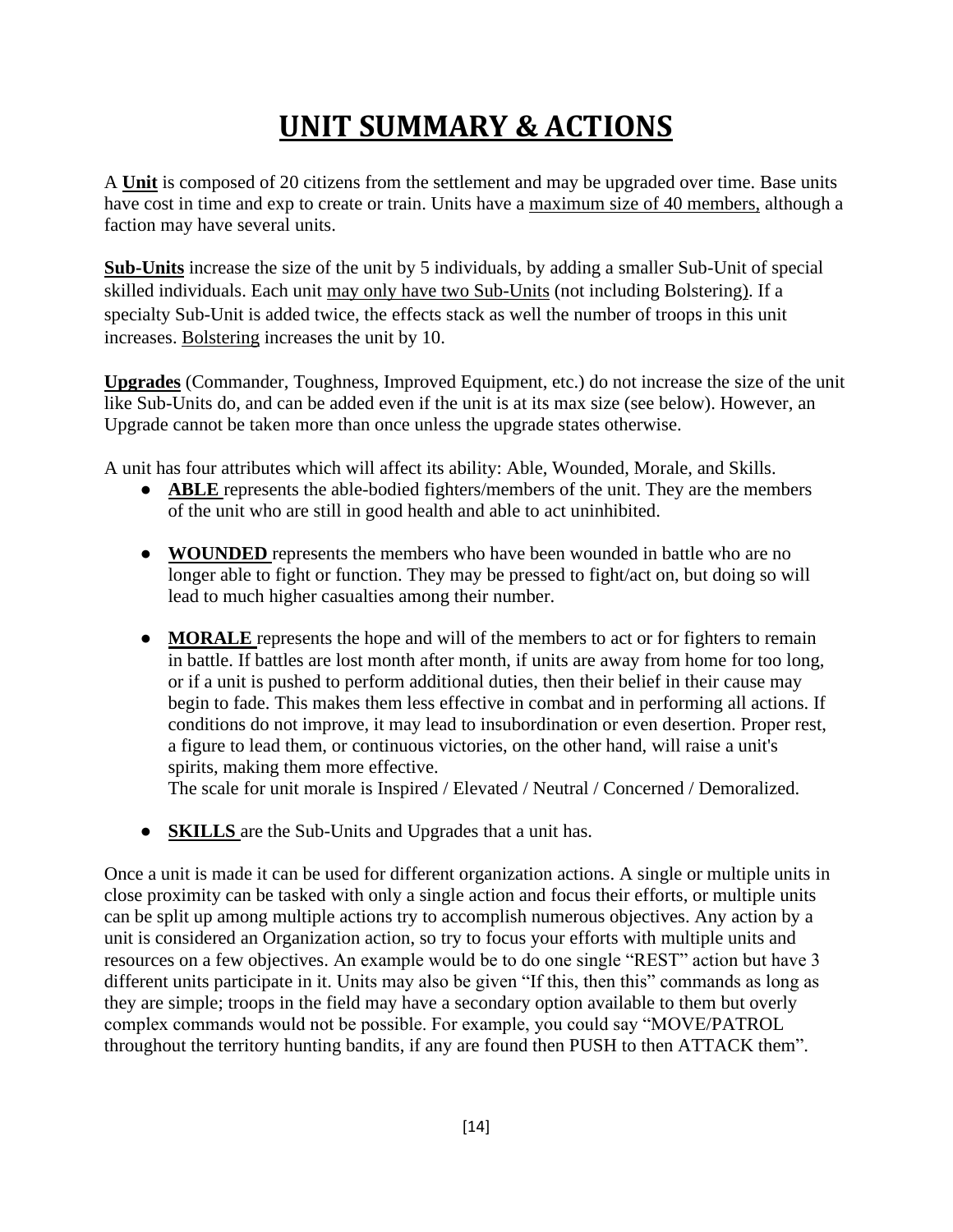# **UNIT SUMMARY & ACTIONS**

<span id="page-13-0"></span>A **Unit** is composed of 20 citizens from the settlement and may be upgraded over time. Base units have cost in time and exp to create or train. Units have a maximum size of 40 members, although a faction may have several units.

**Sub-Units** increase the size of the unit by 5 individuals, by adding a smaller Sub-Unit of special skilled individuals. Each unit may only have two Sub-Units (not including Bolstering). If a specialty Sub-Unit is added twice, the effects stack as well the number of troops in this unit increases. Bolstering increases the unit by 10.

**Upgrades** (Commander, Toughness, Improved Equipment, etc.) do not increase the size of the unit like Sub-Units do, and can be added even if the unit is at its max size (see below). However, an Upgrade cannot be taken more than once unless the upgrade states otherwise.

A unit has four attributes which will affect its ability: Able, Wounded, Morale, and Skills.

- **ABLE** represents the able-bodied fighters/members of the unit. They are the members of the unit who are still in good health and able to act uninhibited.
- **WOUNDED** represents the members who have been wounded in battle who are no longer able to fight or function. They may be pressed to fight/act on, but doing so will lead to much higher casualties among their number.
- **MORALE** represents the hope and will of the members to act or for fighters to remain in battle. If battles are lost month after month, if units are away from home for too long, or if a unit is pushed to perform additional duties, then their belief in their cause may begin to fade. This makes them less effective in combat and in performing all actions. If conditions do not improve, it may lead to insubordination or even desertion. Proper rest, a figure to lead them, or continuous victories, on the other hand, will raise a unit's spirits, making them more effective.

The scale for unit morale is Inspired / Elevated / Neutral / Concerned / Demoralized.

● **SKILLS** are the Sub-Units and Upgrades that a unit has.

Once a unit is made it can be used for different organization actions. A single or multiple units in close proximity can be tasked with only a single action and focus their efforts, or multiple units can be split up among multiple actions try to accomplish numerous objectives. Any action by a unit is considered an Organization action, so try to focus your efforts with multiple units and resources on a few objectives. An example would be to do one single "REST" action but have 3 different units participate in it. Units may also be given "If this, then this" commands as long as they are simple; troops in the field may have a secondary option available to them but overly complex commands would not be possible. For example, you could say "MOVE/PATROL throughout the territory hunting bandits, if any are found then PUSH to then ATTACK them".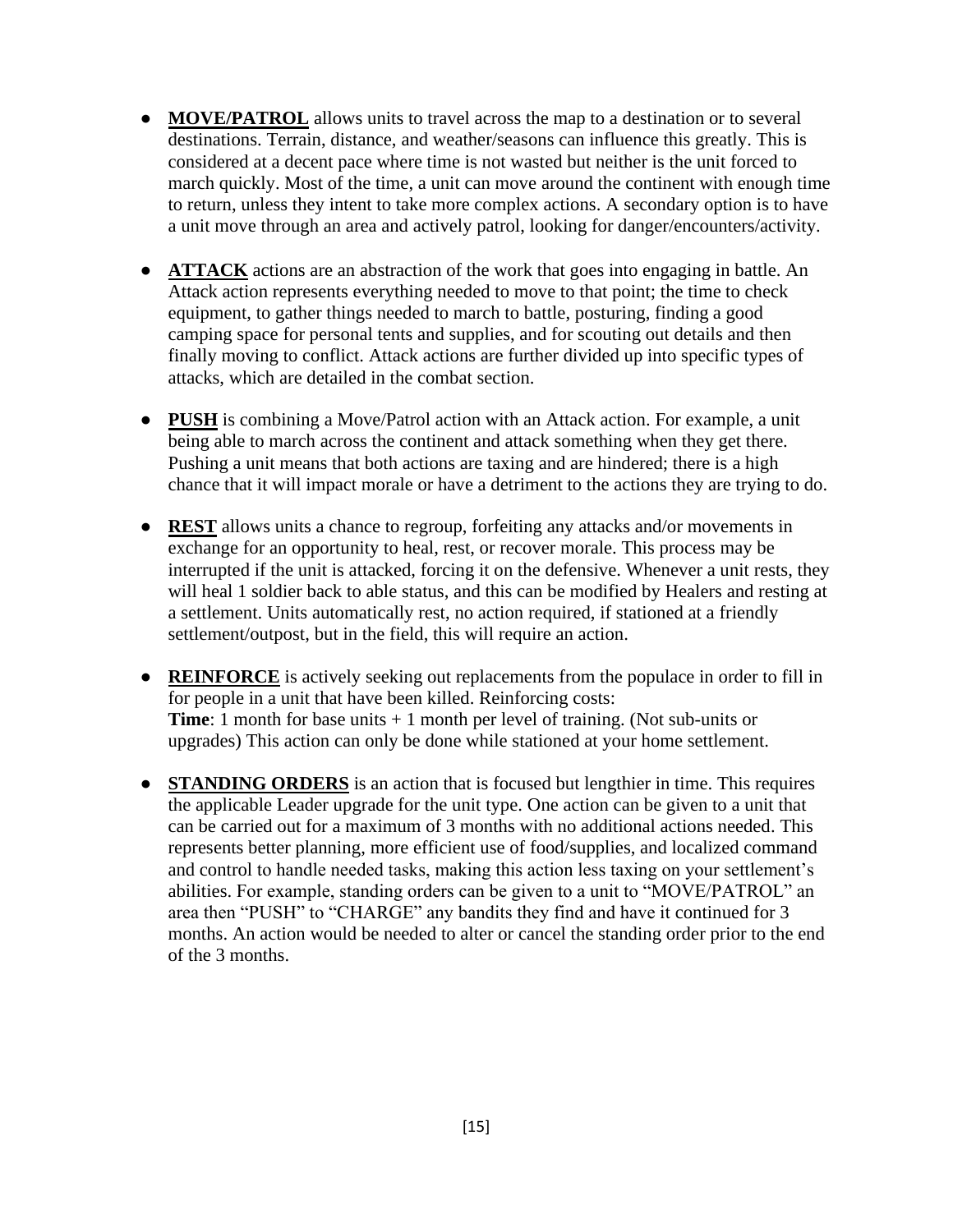- **MOVE/PATROL** allows units to travel across the map to a destination or to several destinations. Terrain, distance, and weather/seasons can influence this greatly. This is considered at a decent pace where time is not wasted but neither is the unit forced to march quickly. Most of the time, a unit can move around the continent with enough time to return, unless they intent to take more complex actions. A secondary option is to have a unit move through an area and actively patrol, looking for danger/encounters/activity.
- **ATTACK** actions are an abstraction of the work that goes into engaging in battle. An Attack action represents everything needed to move to that point; the time to check equipment, to gather things needed to march to battle, posturing, finding a good camping space for personal tents and supplies, and for scouting out details and then finally moving to conflict. Attack actions are further divided up into specific types of attacks, which are detailed in the combat section.
- **PUSH** is combining a Move/Patrol action with an Attack action. For example, a unit being able to march across the continent and attack something when they get there. Pushing a unit means that both actions are taxing and are hindered; there is a high chance that it will impact morale or have a detriment to the actions they are trying to do.
- **REST** allows units a chance to regroup, forfeiting any attacks and/or movements in exchange for an opportunity to heal, rest, or recover morale. This process may be interrupted if the unit is attacked, forcing it on the defensive. Whenever a unit rests, they will heal 1 soldier back to able status, and this can be modified by Healers and resting at a settlement. Units automatically rest, no action required, if stationed at a friendly settlement/outpost, but in the field, this will require an action.
- **REINFORCE** is actively seeking out replacements from the populace in order to fill in for people in a unit that have been killed. Reinforcing costs: **Time**: 1 month for base units + 1 month per level of training. (Not sub-units or upgrades) This action can only be done while stationed at your home settlement.
- **STANDING ORDERS** is an action that is focused but lengthier in time. This requires the applicable Leader upgrade for the unit type. One action can be given to a unit that can be carried out for a maximum of 3 months with no additional actions needed. This represents better planning, more efficient use of food/supplies, and localized command and control to handle needed tasks, making this action less taxing on your settlement's abilities. For example, standing orders can be given to a unit to "MOVE/PATROL" an area then "PUSH" to "CHARGE" any bandits they find and have it continued for 3 months. An action would be needed to alter or cancel the standing order prior to the end of the 3 months.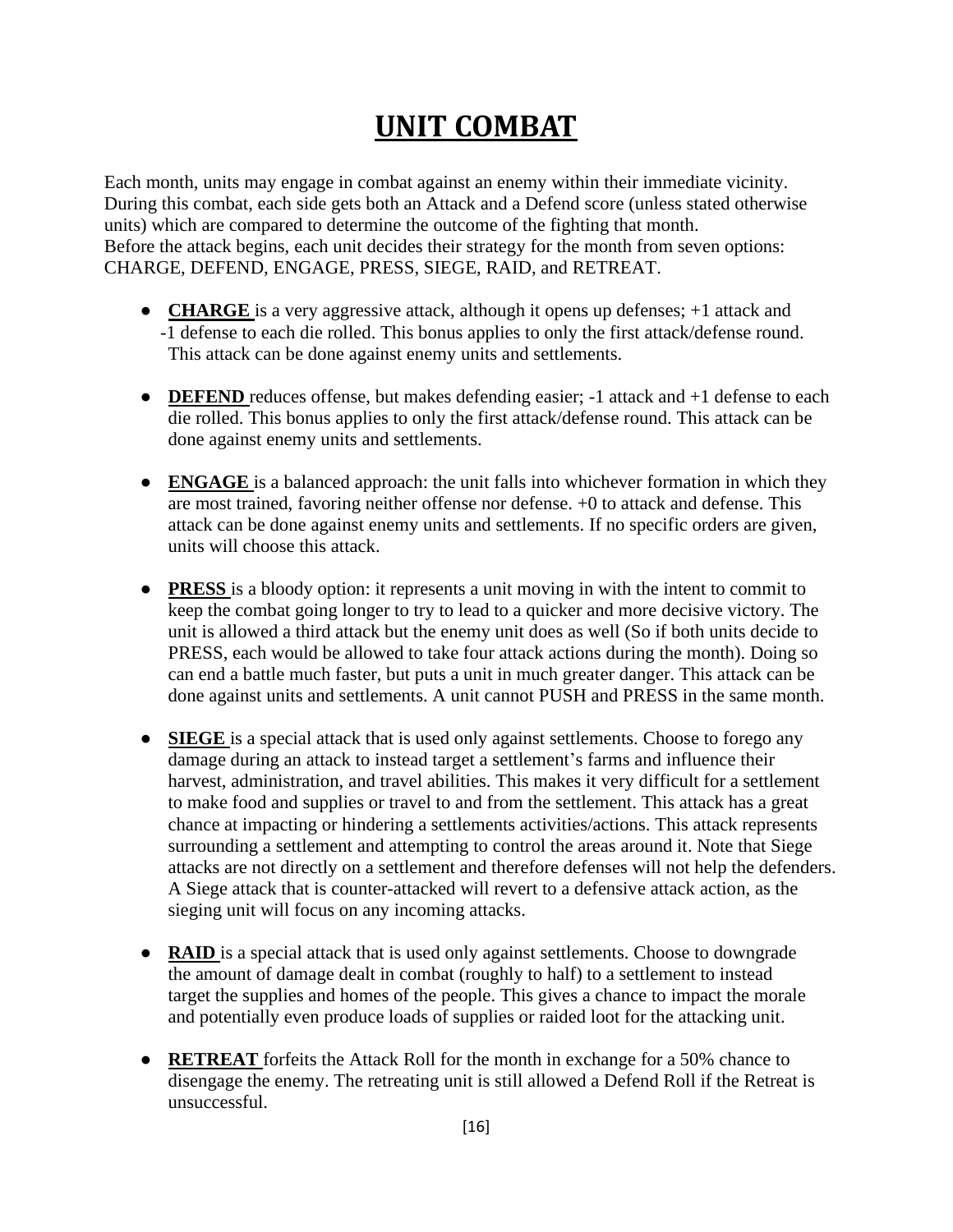### **UNIT COMBAT**

<span id="page-15-0"></span>Each month, units may engage in combat against an enemy within their immediate vicinity. During this combat, each side gets both an Attack and a Defend score (unless stated otherwise units) which are compared to determine the outcome of the fighting that month. Before the attack begins, each unit decides their strategy for the month from seven options: CHARGE, DEFEND, ENGAGE, PRESS, SIEGE, RAID, and RETREAT.

- **CHARGE** is a very aggressive attack, although it opens up defenses; +1 attack and -1 defense to each die rolled. This bonus applies to only the first attack/defense round. This attack can be done against enemy units and settlements.
- **DEFEND** reduces offense, but makes defending easier; -1 attack and +1 defense to each die rolled. This bonus applies to only the first attack/defense round. This attack can be done against enemy units and settlements.
- **ENGAGE** is a balanced approach: the unit falls into whichever formation in which they are most trained, favoring neither offense nor defense. +0 to attack and defense. This attack can be done against enemy units and settlements. If no specific orders are given, units will choose this attack.
- **PRESS** is a bloody option: it represents a unit moving in with the intent to commit to keep the combat going longer to try to lead to a quicker and more decisive victory. The unit is allowed a third attack but the enemy unit does as well (So if both units decide to PRESS, each would be allowed to take four attack actions during the month). Doing so can end a battle much faster, but puts a unit in much greater danger. This attack can be done against units and settlements. A unit cannot PUSH and PRESS in the same month.
- **SIEGE** is a special attack that is used only against settlements. Choose to forego any damage during an attack to instead target a settlement's farms and influence their harvest, administration, and travel abilities. This makes it very difficult for a settlement to make food and supplies or travel to and from the settlement. This attack has a great chance at impacting or hindering a settlements activities/actions. This attack represents surrounding a settlement and attempting to control the areas around it. Note that Siege attacks are not directly on a settlement and therefore defenses will not help the defenders. A Siege attack that is counter-attacked will revert to a defensive attack action, as the sieging unit will focus on any incoming attacks.
- **RAID** is a special attack that is used only against settlements. Choose to downgrade the amount of damage dealt in combat (roughly to half) to a settlement to instead target the supplies and homes of the people. This gives a chance to impact the morale and potentially even produce loads of supplies or raided loot for the attacking unit.
- **RETREAT** forfeits the Attack Roll for the month in exchange for a 50% chance to disengage the enemy. The retreating unit is still allowed a Defend Roll if the Retreat is unsuccessful.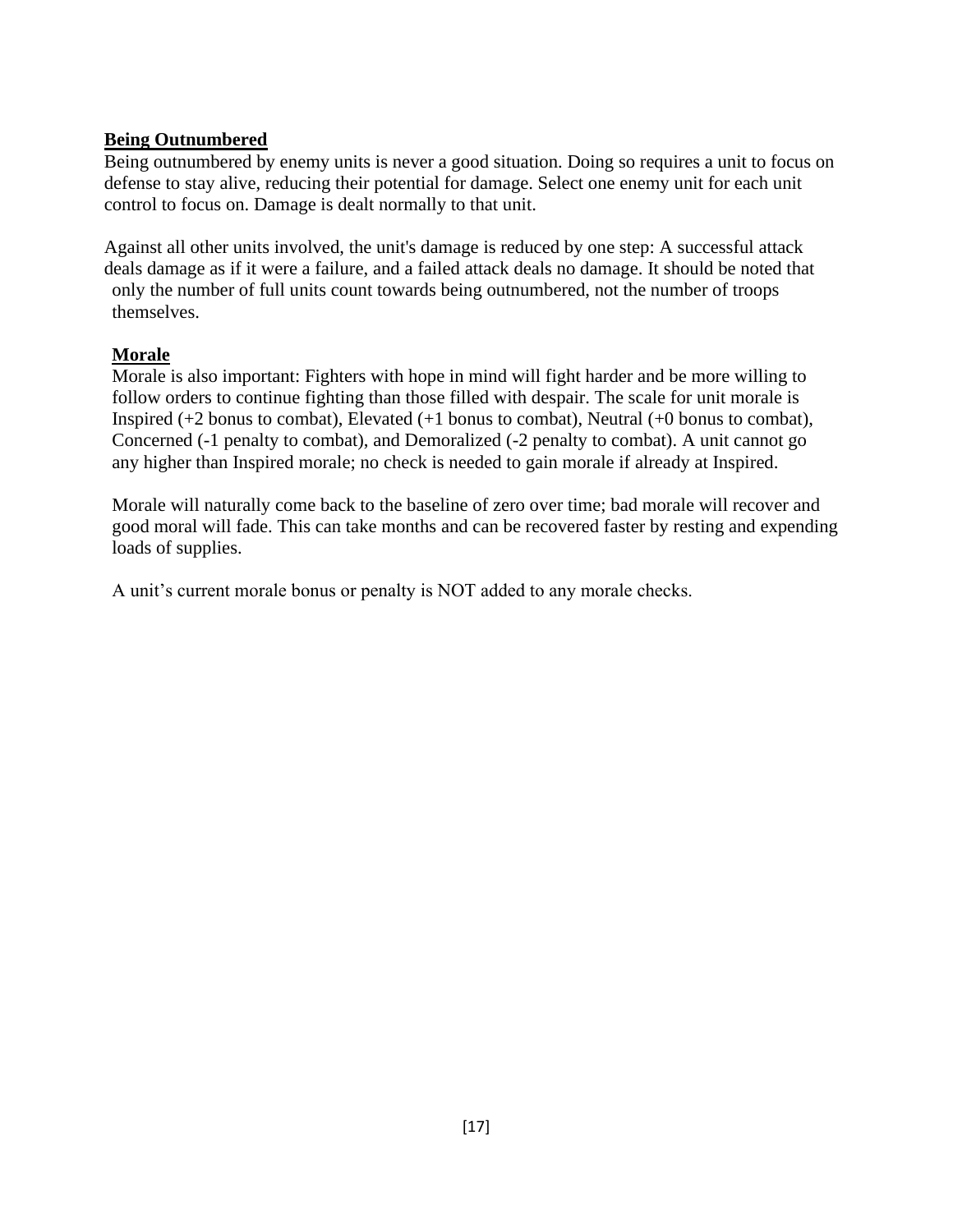#### **Being Outnumbered**

Being outnumbered by enemy units is never a good situation. Doing so requires a unit to focus on defense to stay alive, reducing their potential for damage. Select one enemy unit for each unit control to focus on. Damage is dealt normally to that unit.

Against all other units involved, the unit's damage is reduced by one step: A successful attack deals damage as if it were a failure, and a failed attack deals no damage. It should be noted that only the number of full units count towards being outnumbered, not the number of troops themselves.

#### **Morale**

Morale is also important: Fighters with hope in mind will fight harder and be more willing to follow orders to continue fighting than those filled with despair. The scale for unit morale is Inspired (+2 bonus to combat), Elevated (+1 bonus to combat), Neutral (+0 bonus to combat), Concerned (-1 penalty to combat), and Demoralized (-2 penalty to combat). A unit cannot go any higher than Inspired morale; no check is needed to gain morale if already at Inspired.

Morale will naturally come back to the baseline of zero over time; bad morale will recover and good moral will fade. This can take months and can be recovered faster by resting and expending loads of supplies.

A unit's current morale bonus or penalty is NOT added to any morale checks.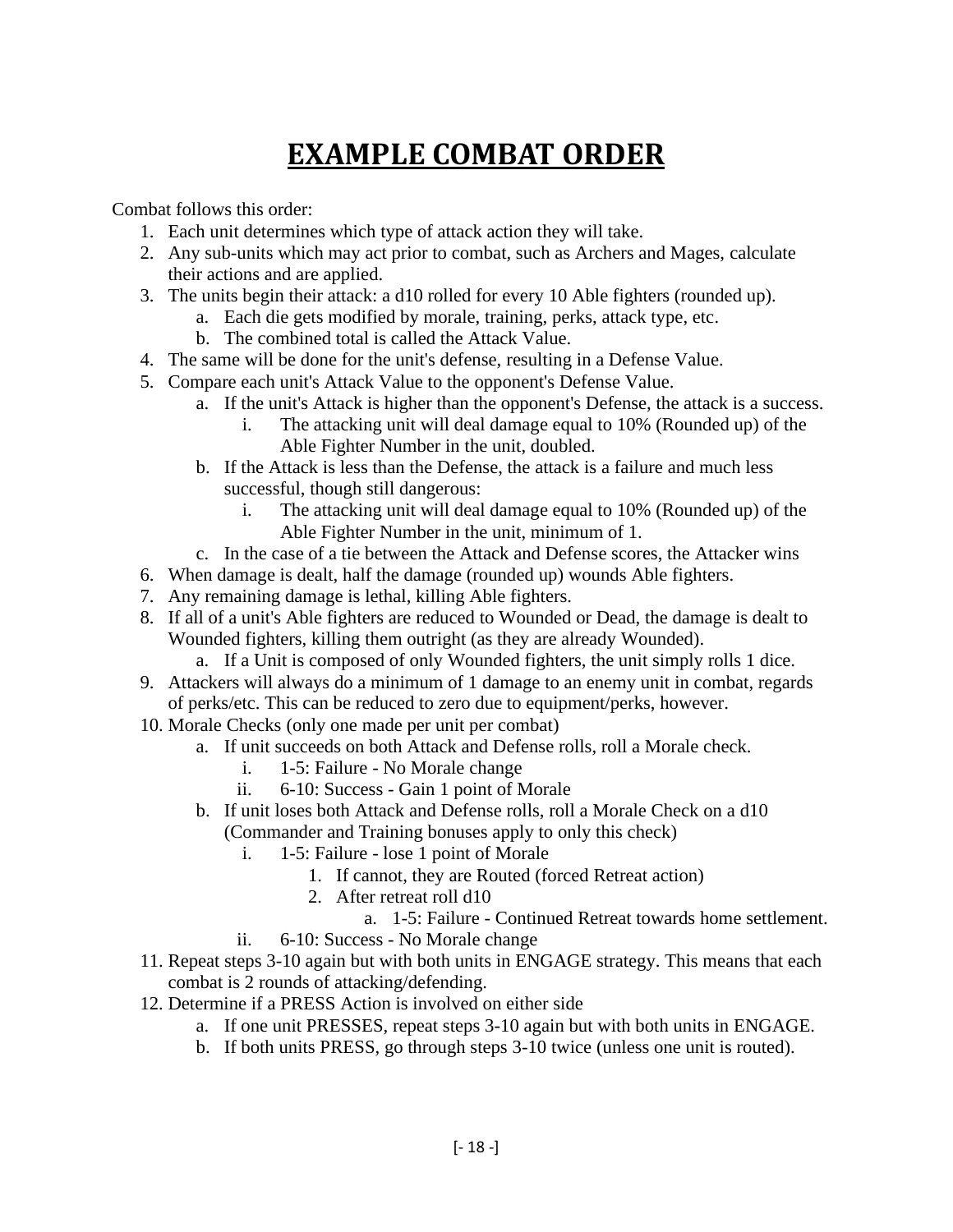### **EXAMPLE COMBAT ORDER**

<span id="page-17-0"></span>Combat follows this order:

- 1. Each unit determines which type of attack action they will take.
- 2. Any sub-units which may act prior to combat, such as Archers and Mages, calculate their actions and are applied.
- 3. The units begin their attack: a d10 rolled for every 10 Able fighters (rounded up).
	- a. Each die gets modified by morale, training, perks, attack type, etc.
	- b. The combined total is called the Attack Value.
- 4. The same will be done for the unit's defense, resulting in a Defense Value.
- 5. Compare each unit's Attack Value to the opponent's Defense Value.
	- a. If the unit's Attack is higher than the opponent's Defense, the attack is a success.
		- i. The attacking unit will deal damage equal to 10% (Rounded up) of the Able Fighter Number in the unit, doubled.
	- b. If the Attack is less than the Defense, the attack is a failure and much less successful, though still dangerous:
		- i. The attacking unit will deal damage equal to 10% (Rounded up) of the Able Fighter Number in the unit, minimum of 1.
	- c. In the case of a tie between the Attack and Defense scores, the Attacker wins
- 6. When damage is dealt, half the damage (rounded up) wounds Able fighters.
- 7. Any remaining damage is lethal, killing Able fighters.
- 8. If all of a unit's Able fighters are reduced to Wounded or Dead, the damage is dealt to Wounded fighters, killing them outright (as they are already Wounded).
	- a. If a Unit is composed of only Wounded fighters, the unit simply rolls 1 dice.
- 9. Attackers will always do a minimum of 1 damage to an enemy unit in combat, regards of perks/etc. This can be reduced to zero due to equipment/perks, however.
- 10. Morale Checks (only one made per unit per combat)
	- a. If unit succeeds on both Attack and Defense rolls, roll a Morale check.
		- i. 1-5: Failure No Morale change
		- ii. 6-10: Success Gain 1 point of Morale
	- b. If unit loses both Attack and Defense rolls, roll a Morale Check on a d10 (Commander and Training bonuses apply to only this check)
		- i. 1-5: Failure lose 1 point of Morale
			- 1. If cannot, they are Routed (forced Retreat action)
			- 2. After retreat roll d10
				- a. 1-5: Failure Continued Retreat towards home settlement.
		- ii. 6-10: Success No Morale change
- 11. Repeat steps 3-10 again but with both units in ENGAGE strategy. This means that each combat is 2 rounds of attacking/defending.
- 12. Determine if a PRESS Action is involved on either side
	- a. If one unit PRESSES, repeat steps 3-10 again but with both units in ENGAGE.
	- b. If both units PRESS, go through steps 3-10 twice (unless one unit is routed).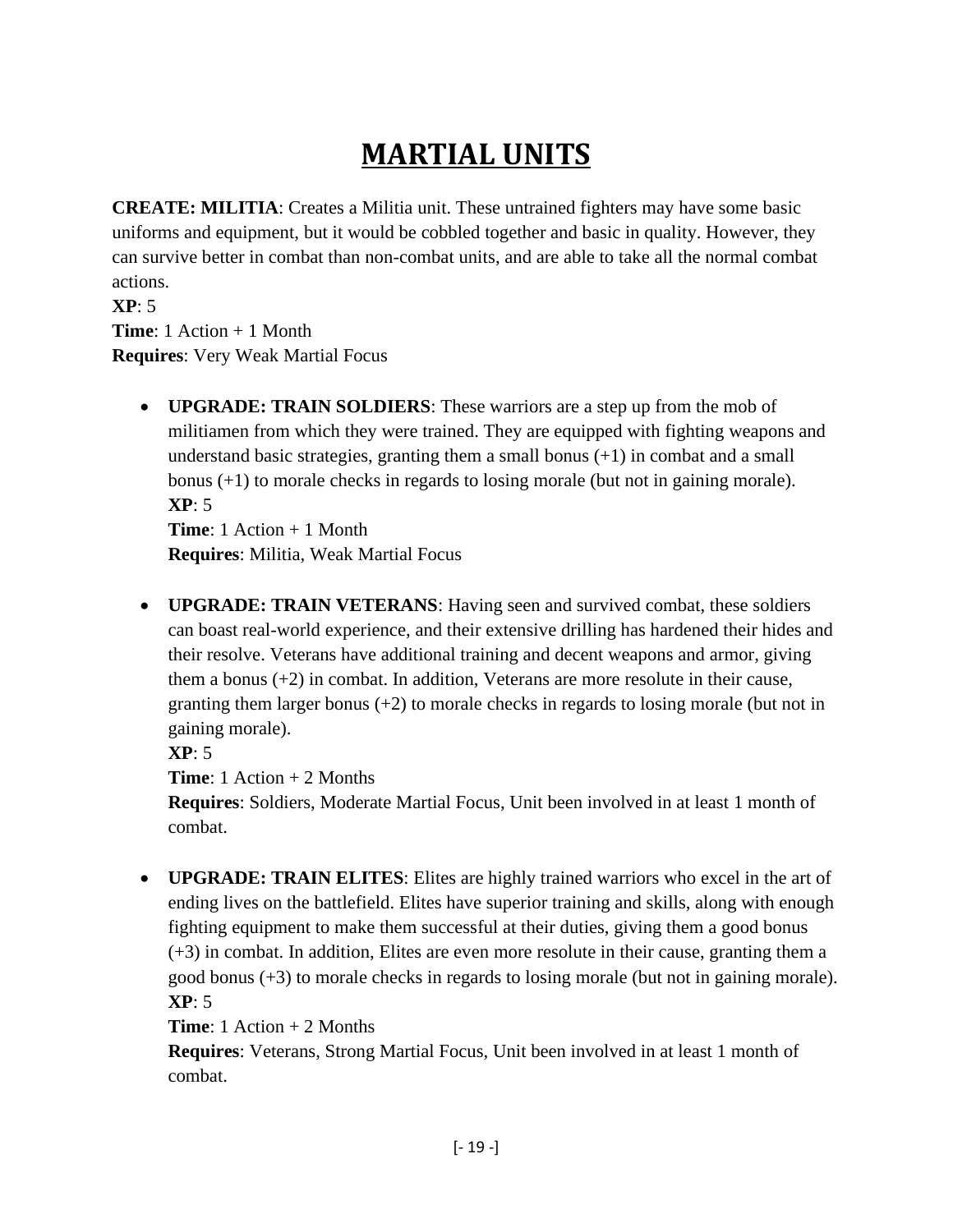# **MARTIAL UNITS**

<span id="page-18-0"></span>**CREATE: MILITIA**: Creates a Militia unit. These untrained fighters may have some basic uniforms and equipment, but it would be cobbled together and basic in quality. However, they can survive better in combat than non-combat units, and are able to take all the normal combat actions.

**XP**: 5 **Time**: 1 Action + 1 Month **Requires**: Very Weak Martial Focus

> • **UPGRADE: TRAIN SOLDIERS**: These warriors are a step up from the mob of militiamen from which they were trained. They are equipped with fighting weapons and understand basic strategies, granting them a small bonus  $(+1)$  in combat and a small bonus (+1) to morale checks in regards to losing morale (but not in gaining morale). **XP**: 5

**Time**: 1 Action + 1 Month **Requires**: Militia, Weak Martial Focus

• **UPGRADE: TRAIN VETERANS**: Having seen and survived combat, these soldiers can boast real-world experience, and their extensive drilling has hardened their hides and their resolve. Veterans have additional training and decent weapons and armor, giving them a bonus (+2) in combat. In addition, Veterans are more resolute in their cause, granting them larger bonus (+2) to morale checks in regards to losing morale (but not in gaining morale).

**XP**: 5

**Time**: 1 Action + 2 Months

**Requires**: Soldiers, Moderate Martial Focus, Unit been involved in at least 1 month of combat.

• **UPGRADE: TRAIN ELITES**: Elites are highly trained warriors who excel in the art of ending lives on the battlefield. Elites have superior training and skills, along with enough fighting equipment to make them successful at their duties, giving them a good bonus (+3) in combat. In addition, Elites are even more resolute in their cause, granting them a good bonus (+3) to morale checks in regards to losing morale (but not in gaining morale). **XP**: 5

**Time**: 1 Action + 2 Months

**Requires**: Veterans, Strong Martial Focus, Unit been involved in at least 1 month of combat.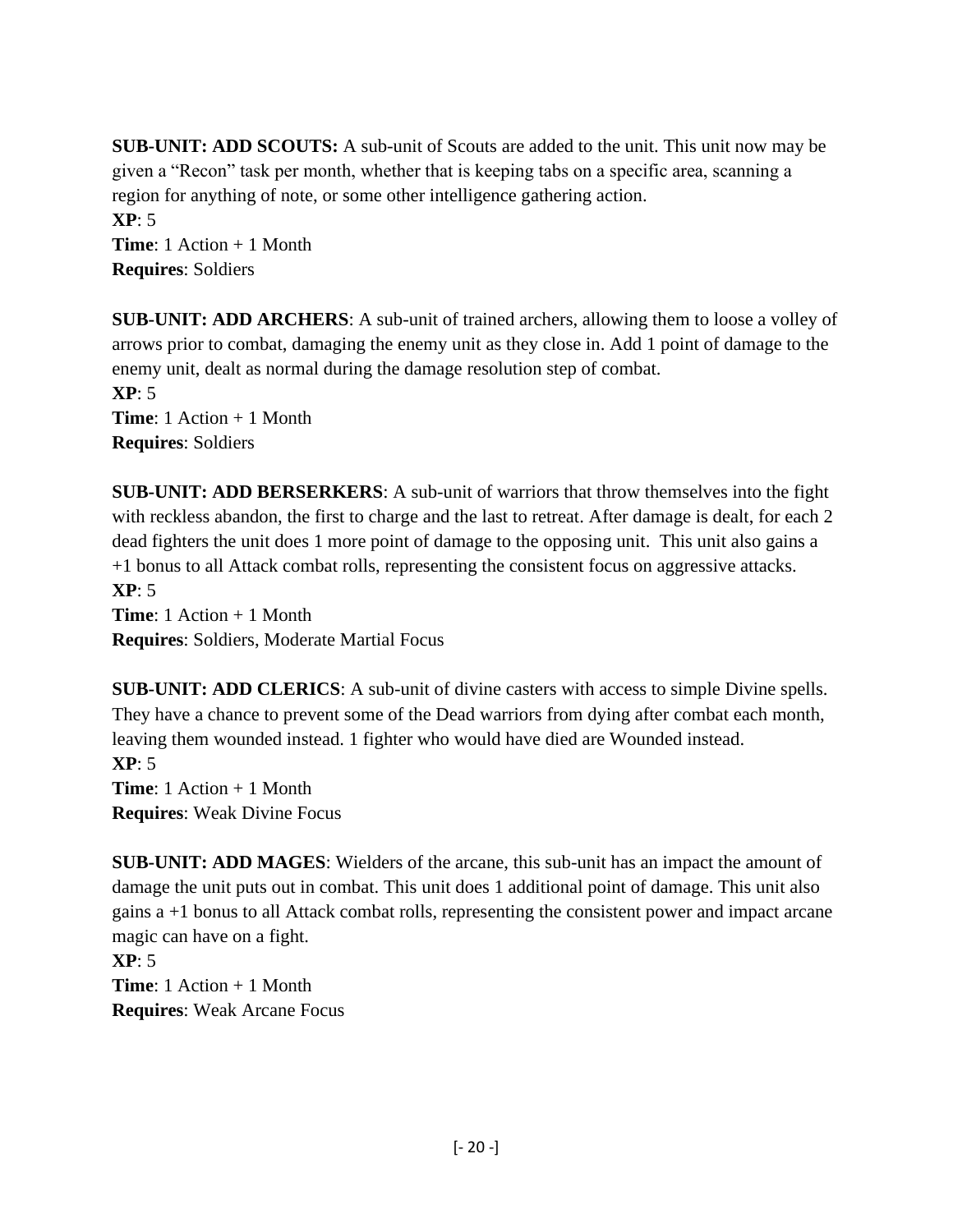**SUB-UNIT: ADD SCOUTS:** A sub-unit of Scouts are added to the unit. This unit now may be given a "Recon" task per month, whether that is keeping tabs on a specific area, scanning a region for anything of note, or some other intelligence gathering action. **XP**: 5

**Time**: 1 Action + 1 Month **Requires**: Soldiers

**SUB-UNIT: ADD ARCHERS**: A sub-unit of trained archers, allowing them to loose a volley of arrows prior to combat, damaging the enemy unit as they close in. Add 1 point of damage to the enemy unit, dealt as normal during the damage resolution step of combat. **XP**: 5 **Time**: 1 Action + 1 Month **Requires**: Soldiers

**SUB-UNIT: ADD BERSERKERS**: A sub-unit of warriors that throw themselves into the fight with reckless abandon, the first to charge and the last to retreat. After damage is dealt, for each 2 dead fighters the unit does 1 more point of damage to the opposing unit. This unit also gains a +1 bonus to all Attack combat rolls, representing the consistent focus on aggressive attacks. **XP**: 5

**Time**: 1 Action + 1 Month **Requires**: Soldiers, Moderate Martial Focus

**SUB-UNIT: ADD CLERICS**: A sub-unit of divine casters with access to simple Divine spells. They have a chance to prevent some of the Dead warriors from dying after combat each month, leaving them wounded instead. 1 fighter who would have died are Wounded instead. **XP**: 5 **Time**: 1 Action + 1 Month **Requires**: Weak Divine Focus

**SUB-UNIT: ADD MAGES**: Wielders of the arcane, this sub-unit has an impact the amount of damage the unit puts out in combat. This unit does 1 additional point of damage. This unit also gains a +1 bonus to all Attack combat rolls, representing the consistent power and impact arcane magic can have on a fight.

**XP**: 5 **Time**: 1 Action + 1 Month **Requires**: Weak Arcane Focus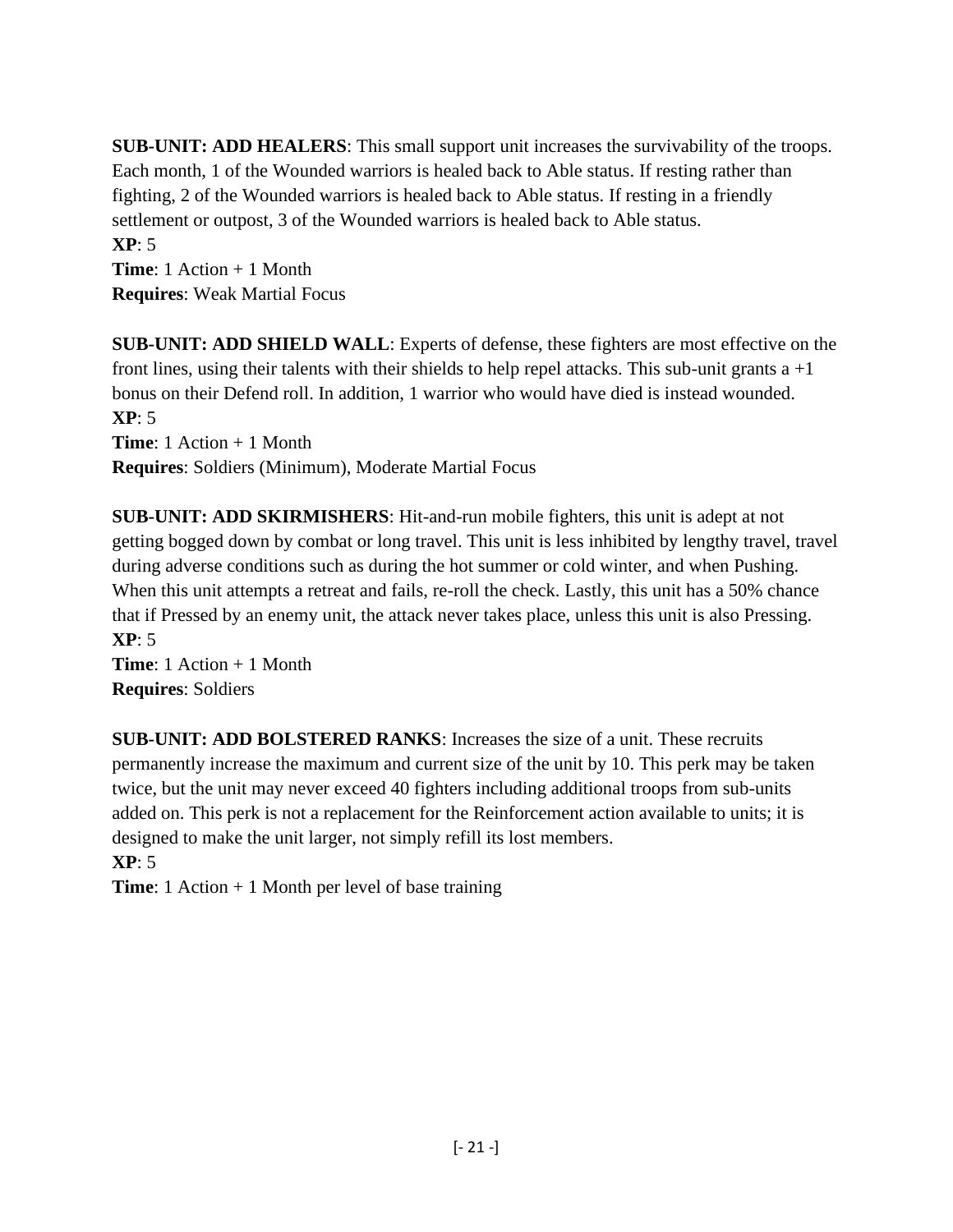**SUB-UNIT: ADD HEALERS**: This small support unit increases the survivability of the troops. Each month, 1 of the Wounded warriors is healed back to Able status. If resting rather than fighting, 2 of the Wounded warriors is healed back to Able status. If resting in a friendly settlement or outpost, 3 of the Wounded warriors is healed back to Able status. **XP**: 5

**Time**: 1 Action + 1 Month **Requires**: Weak Martial Focus

**SUB-UNIT: ADD SHIELD WALL**: Experts of defense, these fighters are most effective on the front lines, using their talents with their shields to help repel attacks. This sub-unit grants  $a + 1$ bonus on their Defend roll. In addition, 1 warrior who would have died is instead wounded. **XP**: 5 **Time**: 1 Action + 1 Month

**Requires**: Soldiers (Minimum), Moderate Martial Focus

**SUB-UNIT: ADD SKIRMISHERS**: Hit-and-run mobile fighters, this unit is adept at not getting bogged down by combat or long travel. This unit is less inhibited by lengthy travel, travel during adverse conditions such as during the hot summer or cold winter, and when Pushing. When this unit attempts a retreat and fails, re-roll the check. Lastly, this unit has a 50% chance that if Pressed by an enemy unit, the attack never takes place, unless this unit is also Pressing. **XP**: 5

**Time**: 1 Action + 1 Month **Requires**: Soldiers

**SUB-UNIT: ADD BOLSTERED RANKS**: Increases the size of a unit. These recruits permanently increase the maximum and current size of the unit by 10. This perk may be taken twice, but the unit may never exceed 40 fighters including additional troops from sub-units added on. This perk is not a replacement for the Reinforcement action available to units; it is designed to make the unit larger, not simply refill its lost members.

**XP**: 5

**Time**: 1 Action + 1 Month per level of base training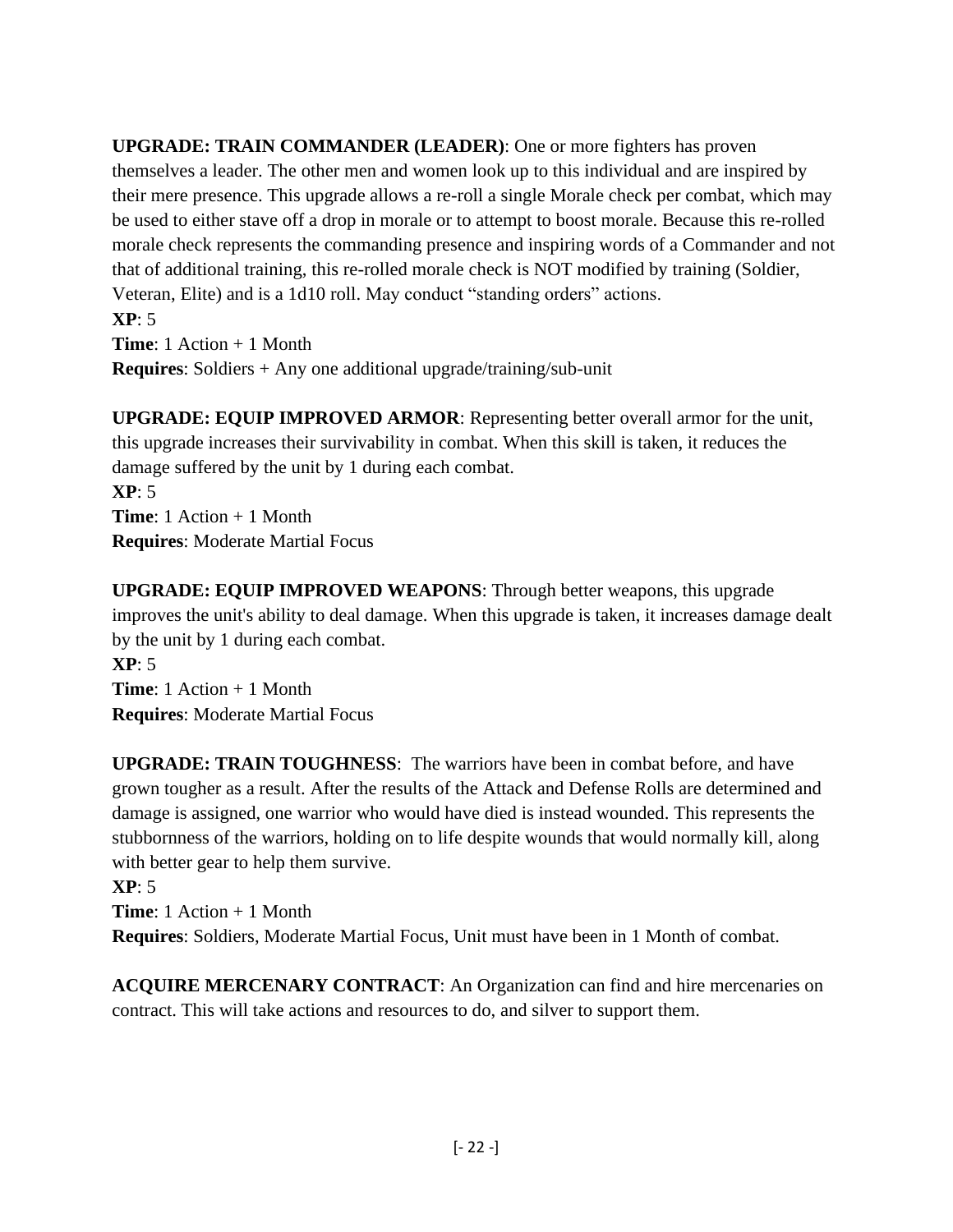**UPGRADE: TRAIN COMMANDER (LEADER)**: One or more fighters has proven themselves a leader. The other men and women look up to this individual and are inspired by their mere presence. This upgrade allows a re-roll a single Morale check per combat, which may be used to either stave off a drop in morale or to attempt to boost morale. Because this re-rolled morale check represents the commanding presence and inspiring words of a Commander and not that of additional training, this re-rolled morale check is NOT modified by training (Soldier, Veteran, Elite) and is a 1d10 roll. May conduct "standing orders" actions. **XP**: 5

**Time**: 1 Action + 1 Month **Requires**: Soldiers + Any one additional upgrade/training/sub-unit

**UPGRADE: EQUIP IMPROVED ARMOR**: Representing better overall armor for the unit, this upgrade increases their survivability in combat. When this skill is taken, it reduces the damage suffered by the unit by 1 during each combat.

**XP**: 5 **Time**: 1 Action + 1 Month **Requires**: Moderate Martial Focus

**UPGRADE: EQUIP IMPROVED WEAPONS**: Through better weapons, this upgrade improves the unit's ability to deal damage. When this upgrade is taken, it increases damage dealt by the unit by 1 during each combat. **XP**: 5

**Time**: 1 Action + 1 Month **Requires**: Moderate Martial Focus

**UPGRADE: TRAIN TOUGHNESS**: The warriors have been in combat before, and have grown tougher as a result. After the results of the Attack and Defense Rolls are determined and damage is assigned, one warrior who would have died is instead wounded. This represents the stubbornness of the warriors, holding on to life despite wounds that would normally kill, along with better gear to help them survive.

**XP**: 5

**Time**: 1 Action + 1 Month **Requires**: Soldiers, Moderate Martial Focus, Unit must have been in 1 Month of combat.

**ACQUIRE MERCENARY CONTRACT**: An Organization can find and hire mercenaries on contract. This will take actions and resources to do, and silver to support them.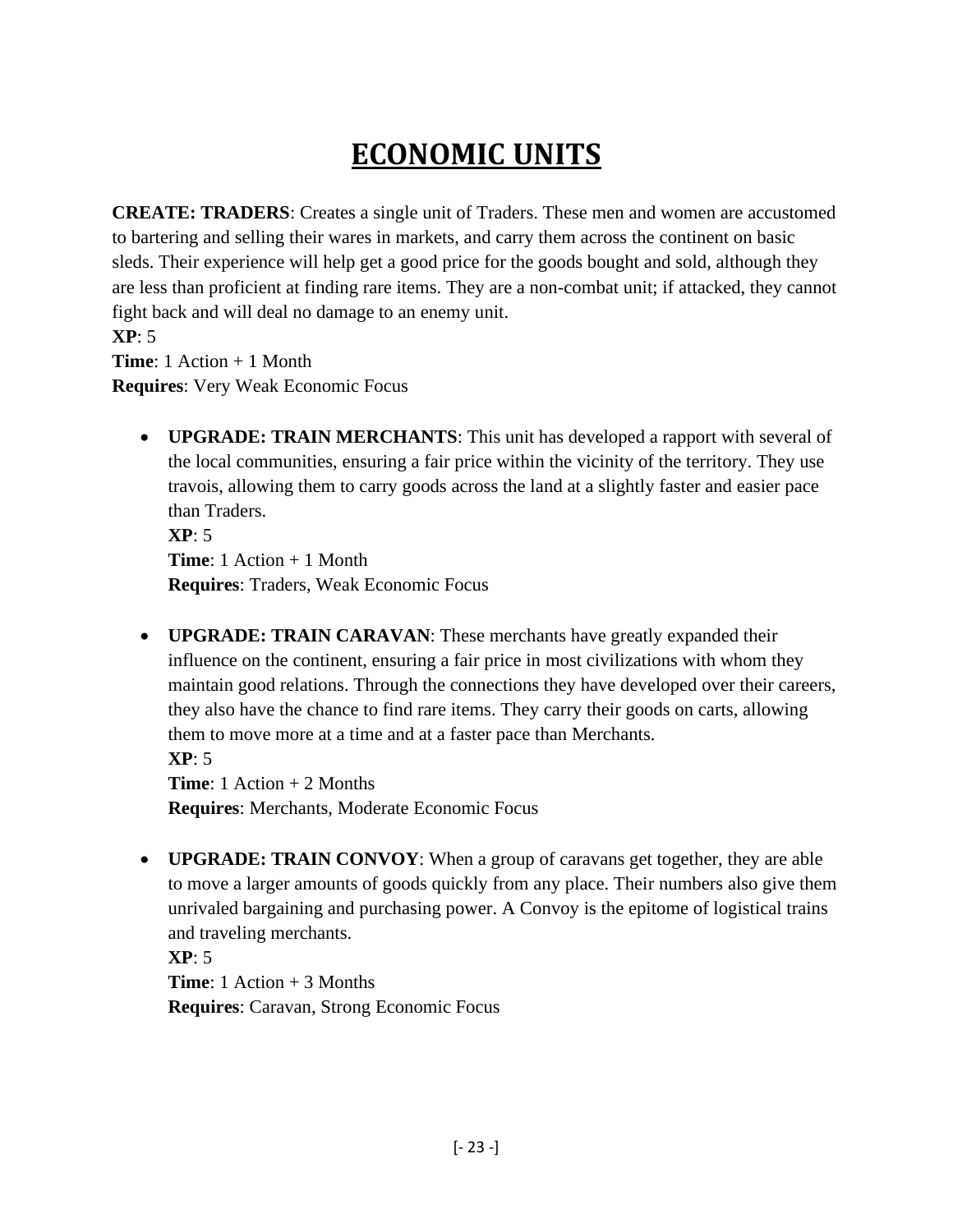# **ECONOMIC UNITS**

<span id="page-22-0"></span>**CREATE: TRADERS**: Creates a single unit of Traders. These men and women are accustomed to bartering and selling their wares in markets, and carry them across the continent on basic sleds. Their experience will help get a good price for the goods bought and sold, although they are less than proficient at finding rare items. They are a non-combat unit; if attacked, they cannot fight back and will deal no damage to an enemy unit.

**XP**: 5 **Time**: 1 Action + 1 Month **Requires**: Very Weak Economic Focus

• **UPGRADE: TRAIN MERCHANTS**: This unit has developed a rapport with several of the local communities, ensuring a fair price within the vicinity of the territory. They use travois, allowing them to carry goods across the land at a slightly faster and easier pace than Traders. **XP**: 5

**Time**: 1 Action + 1 Month **Requires**: Traders, Weak Economic Focus

• **UPGRADE: TRAIN CARAVAN**: These merchants have greatly expanded their influence on the continent, ensuring a fair price in most civilizations with whom they maintain good relations. Through the connections they have developed over their careers, they also have the chance to find rare items. They carry their goods on carts, allowing them to move more at a time and at a faster pace than Merchants.

**XP**: 5 **Time**: 1 Action + 2 Months **Requires**: Merchants, Moderate Economic Focus

• **UPGRADE: TRAIN CONVOY**: When a group of caravans get together, they are able to move a larger amounts of goods quickly from any place. Their numbers also give them unrivaled bargaining and purchasing power. A Convoy is the epitome of logistical trains and traveling merchants.

**XP**: 5 **Time**: 1 Action + 3 Months **Requires**: Caravan, Strong Economic Focus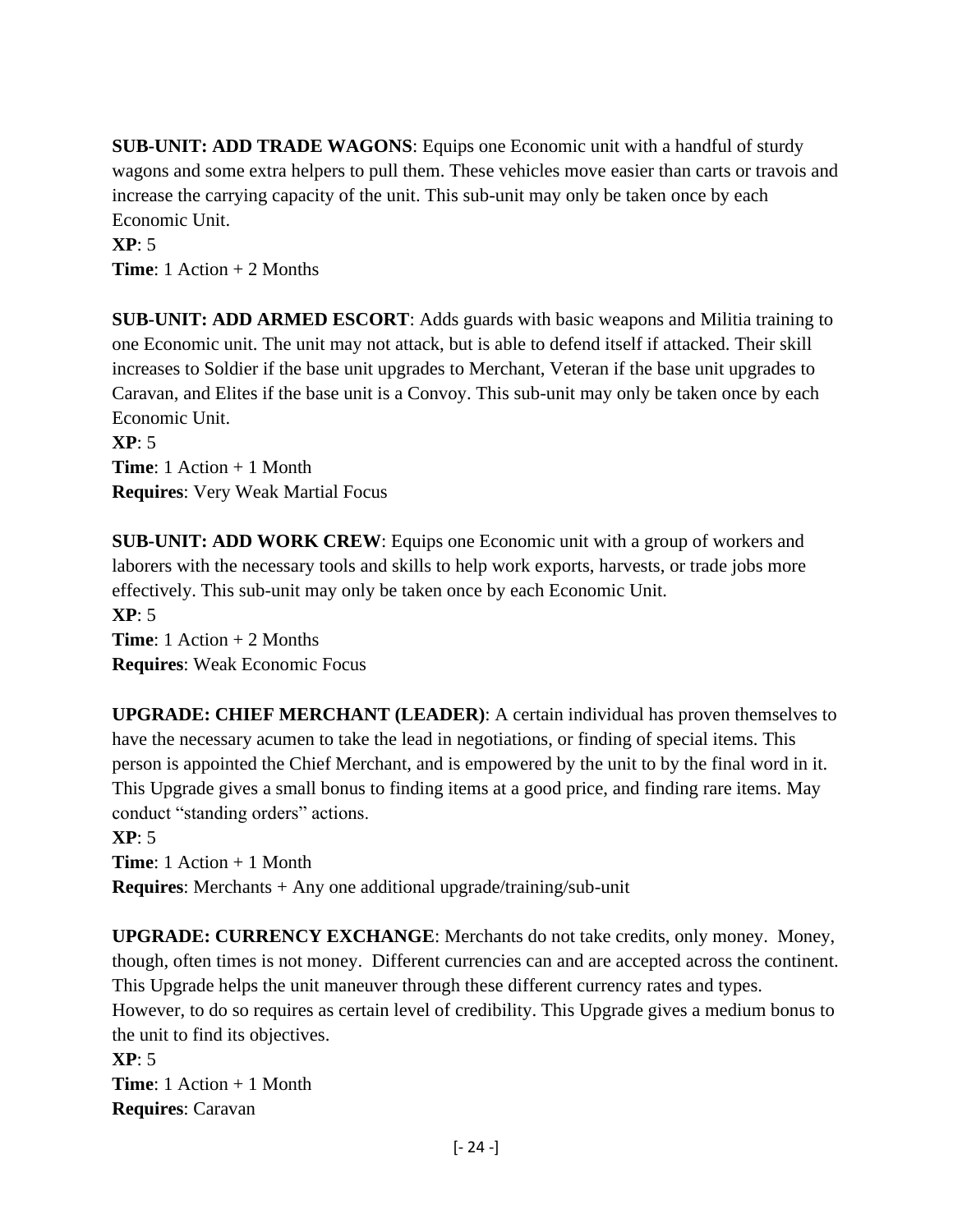**SUB-UNIT: ADD TRADE WAGONS**: Equips one Economic unit with a handful of sturdy wagons and some extra helpers to pull them. These vehicles move easier than carts or travois and increase the carrying capacity of the unit. This sub-unit may only be taken once by each Economic Unit.

**XP**: 5

**Time**: 1 Action + 2 Months

**SUB-UNIT: ADD ARMED ESCORT**: Adds guards with basic weapons and Militia training to one Economic unit. The unit may not attack, but is able to defend itself if attacked. Their skill increases to Soldier if the base unit upgrades to Merchant, Veteran if the base unit upgrades to Caravan, and Elites if the base unit is a Convoy. This sub-unit may only be taken once by each Economic Unit.

**XP**: 5 **Time**: 1 Action + 1 Month **Requires**: Very Weak Martial Focus

**SUB-UNIT: ADD WORK CREW**: Equips one Economic unit with a group of workers and laborers with the necessary tools and skills to help work exports, harvests, or trade jobs more effectively. This sub-unit may only be taken once by each Economic Unit. **XP**: 5 **Time**: 1 Action + 2 Months

**Requires**: Weak Economic Focus

**UPGRADE: CHIEF MERCHANT (LEADER)**: A certain individual has proven themselves to have the necessary acumen to take the lead in negotiations, or finding of special items. This person is appointed the Chief Merchant, and is empowered by the unit to by the final word in it. This Upgrade gives a small bonus to finding items at a good price, and finding rare items. May conduct "standing orders" actions.

**XP**: 5 **Time**: 1 Action + 1 Month **Requires**: Merchants + Any one additional upgrade/training/sub-unit

**UPGRADE: CURRENCY EXCHANGE**: Merchants do not take credits, only money. Money, though, often times is not money. Different currencies can and are accepted across the continent. This Upgrade helps the unit maneuver through these different currency rates and types. However, to do so requires as certain level of credibility. This Upgrade gives a medium bonus to the unit to find its objectives. **XP**: 5

**Time**: 1 Action + 1 Month **Requires**: Caravan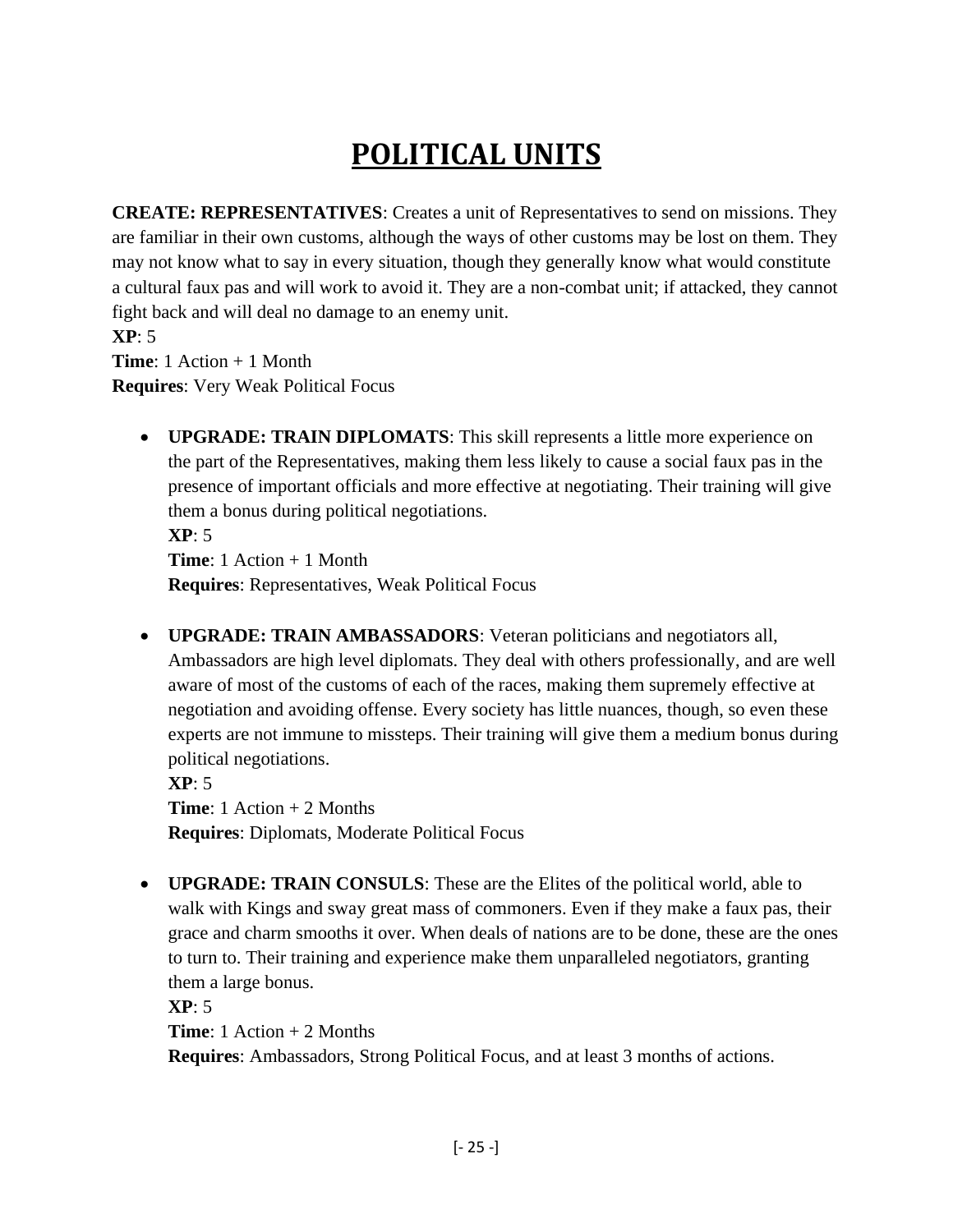# **POLITICAL UNITS**

<span id="page-24-0"></span>**CREATE: REPRESENTATIVES**: Creates a unit of Representatives to send on missions. They are familiar in their own customs, although the ways of other customs may be lost on them. They may not know what to say in every situation, though they generally know what would constitute a cultural faux pas and will work to avoid it. They are a non-combat unit; if attacked, they cannot fight back and will deal no damage to an enemy unit.

**XP**: 5 **Time**: 1 Action + 1 Month

**Requires**: Very Weak Political Focus

• **UPGRADE: TRAIN DIPLOMATS**: This skill represents a little more experience on the part of the Representatives, making them less likely to cause a social faux pas in the presence of important officials and more effective at negotiating. Their training will give them a bonus during political negotiations. **XP**: 5

**Time**: 1 Action + 1 Month **Requires**: Representatives, Weak Political Focus

• **UPGRADE: TRAIN AMBASSADORS**: Veteran politicians and negotiators all, Ambassadors are high level diplomats. They deal with others professionally, and are well aware of most of the customs of each of the races, making them supremely effective at negotiation and avoiding offense. Every society has little nuances, though, so even these experts are not immune to missteps. Their training will give them a medium bonus during political negotiations.

**XP**: 5 **Time**: 1 Action + 2 Months **Requires**: Diplomats, Moderate Political Focus

• **UPGRADE: TRAIN CONSULS**: These are the Elites of the political world, able to walk with Kings and sway great mass of commoners. Even if they make a faux pas, their grace and charm smooths it over. When deals of nations are to be done, these are the ones to turn to. Their training and experience make them unparalleled negotiators, granting them a large bonus.

**XP**: 5

**Time**: 1 Action + 2 Months

**Requires**: Ambassadors, Strong Political Focus, and at least 3 months of actions.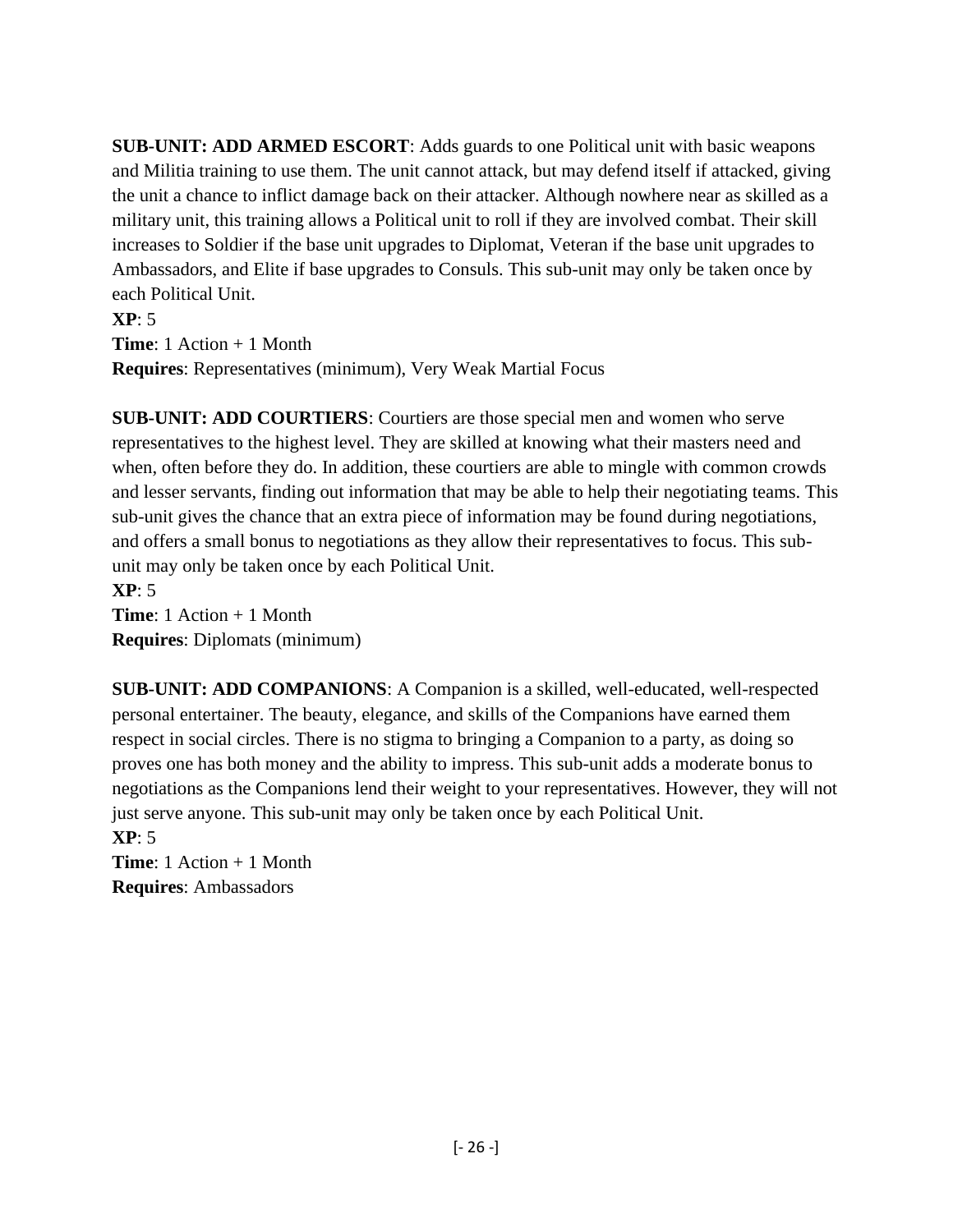**SUB-UNIT: ADD ARMED ESCORT**: Adds guards to one Political unit with basic weapons and Militia training to use them. The unit cannot attack, but may defend itself if attacked, giving the unit a chance to inflict damage back on their attacker. Although nowhere near as skilled as a military unit, this training allows a Political unit to roll if they are involved combat. Their skill increases to Soldier if the base unit upgrades to Diplomat, Veteran if the base unit upgrades to Ambassadors, and Elite if base upgrades to Consuls. This sub-unit may only be taken once by each Political Unit.

**XP**: 5 **Time**: 1 Action + 1 Month **Requires**: Representatives (minimum), Very Weak Martial Focus

**SUB-UNIT: ADD COURTIERS**: Courtiers are those special men and women who serve representatives to the highest level. They are skilled at knowing what their masters need and when, often before they do. In addition, these courtiers are able to mingle with common crowds and lesser servants, finding out information that may be able to help their negotiating teams. This sub-unit gives the chance that an extra piece of information may be found during negotiations, and offers a small bonus to negotiations as they allow their representatives to focus. This subunit may only be taken once by each Political Unit.

**XP**: 5 **Time**: 1 Action + 1 Month **Requires**: Diplomats (minimum)

**SUB-UNIT: ADD COMPANIONS**: A Companion is a skilled, well-educated, well-respected personal entertainer. The beauty, elegance, and skills of the Companions have earned them respect in social circles. There is no stigma to bringing a Companion to a party, as doing so proves one has both money and the ability to impress. This sub-unit adds a moderate bonus to negotiations as the Companions lend their weight to your representatives. However, they will not just serve anyone. This sub-unit may only be taken once by each Political Unit.

**XP**: 5 **Time**: 1 Action + 1 Month **Requires**: Ambassadors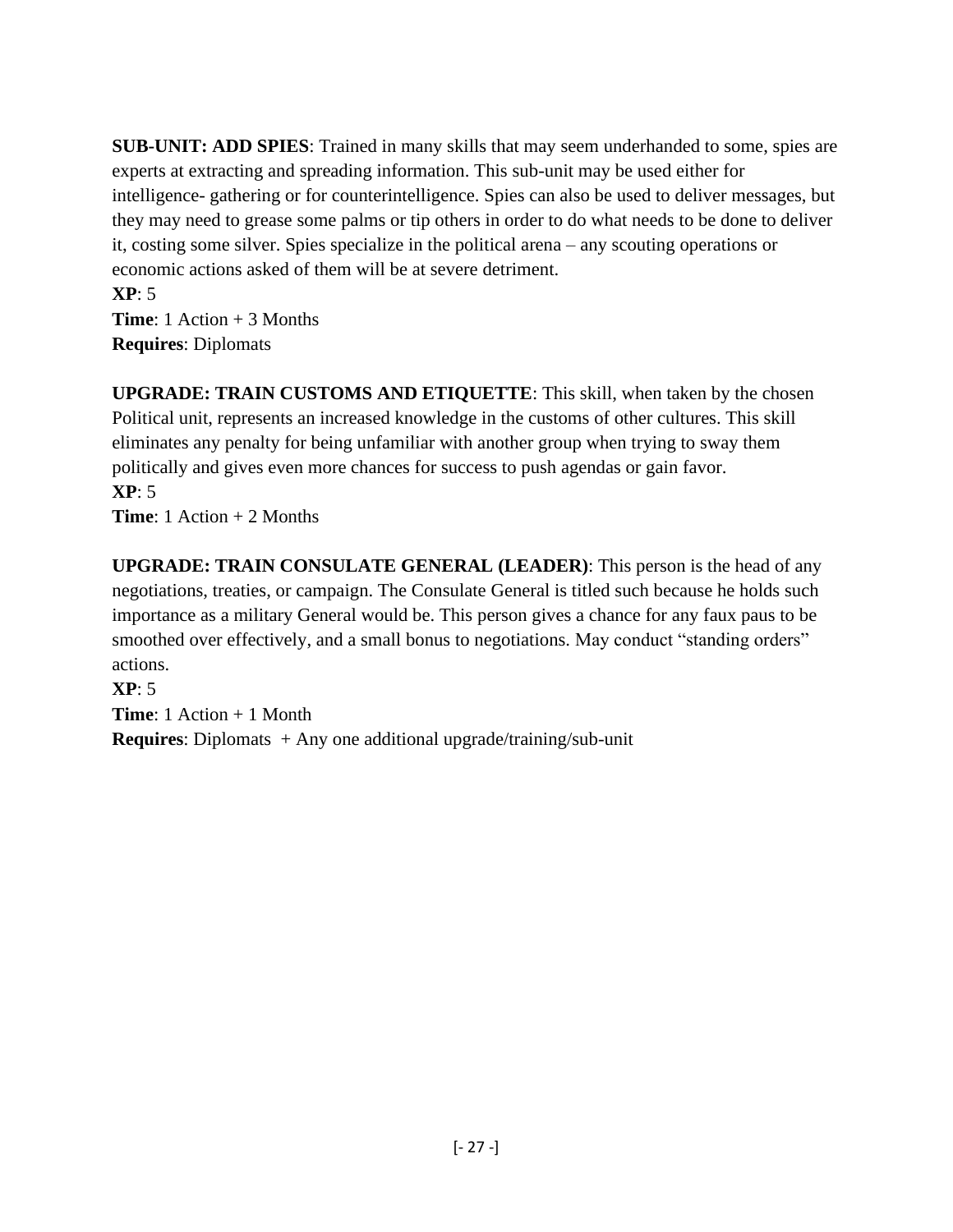**SUB-UNIT: ADD SPIES**: Trained in many skills that may seem underhanded to some, spies are experts at extracting and spreading information. This sub-unit may be used either for intelligence- gathering or for counterintelligence. Spies can also be used to deliver messages, but they may need to grease some palms or tip others in order to do what needs to be done to deliver it, costing some silver. Spies specialize in the political arena – any scouting operations or economic actions asked of them will be at severe detriment.

**XP**: 5 **Time**: 1 Action + 3 Months **Requires**: Diplomats

**UPGRADE: TRAIN CUSTOMS AND ETIQUETTE**: This skill, when taken by the chosen Political unit, represents an increased knowledge in the customs of other cultures. This skill eliminates any penalty for being unfamiliar with another group when trying to sway them politically and gives even more chances for success to push agendas or gain favor. **XP**: 5

**Time**: 1 Action + 2 Months

**UPGRADE: TRAIN CONSULATE GENERAL (LEADER)**: This person is the head of any negotiations, treaties, or campaign. The Consulate General is titled such because he holds such importance as a military General would be. This person gives a chance for any faux paus to be smoothed over effectively, and a small bonus to negotiations. May conduct "standing orders" actions.

**XP**: 5

**Time**: 1 Action + 1 Month

**Requires**: Diplomats + Any one additional upgrade/training/sub-unit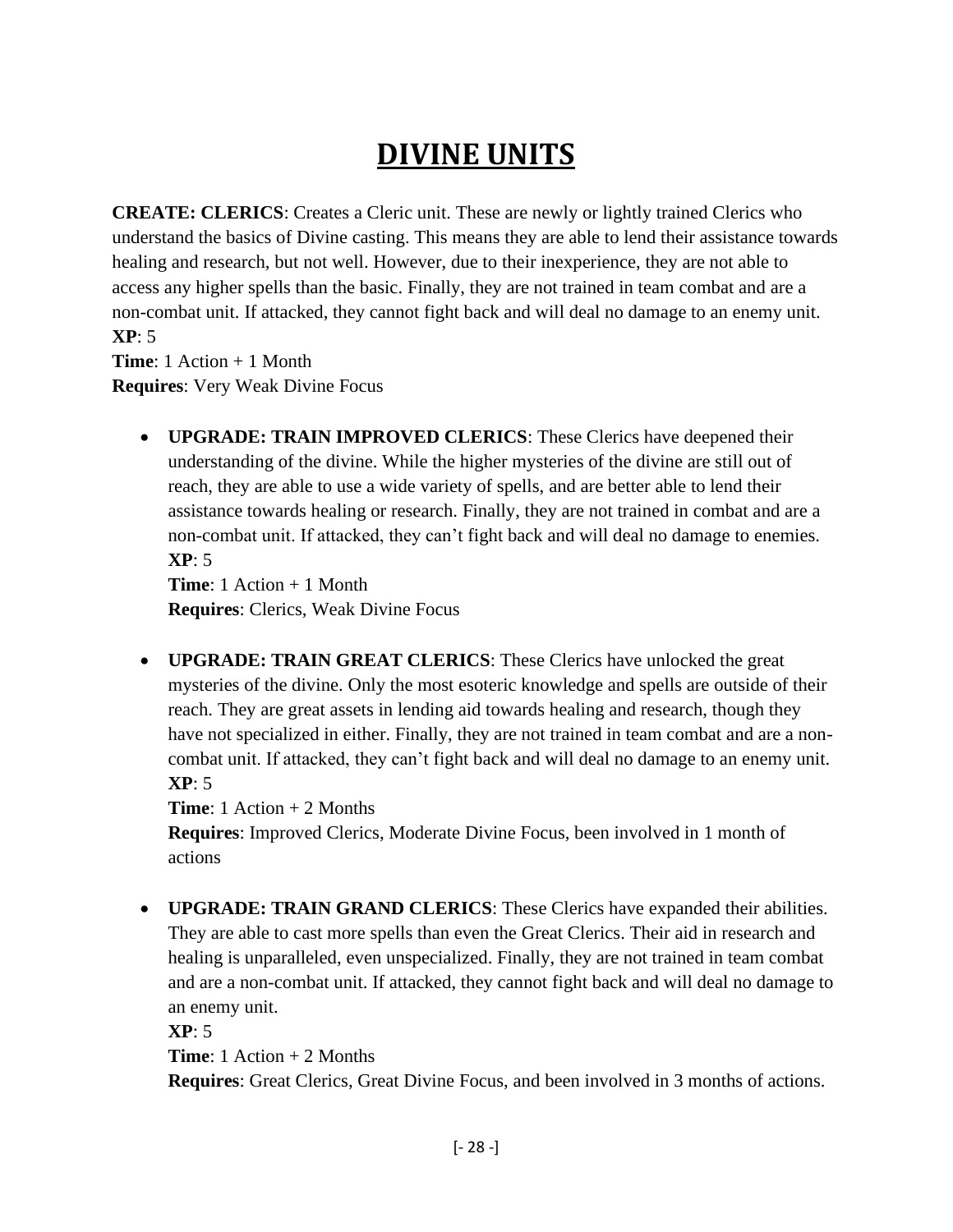### **DIVINE UNITS**

<span id="page-27-0"></span>**CREATE: CLERICS**: Creates a Cleric unit. These are newly or lightly trained Clerics who understand the basics of Divine casting. This means they are able to lend their assistance towards healing and research, but not well. However, due to their inexperience, they are not able to access any higher spells than the basic. Finally, they are not trained in team combat and are a non-combat unit. If attacked, they cannot fight back and will deal no damage to an enemy unit. **XP**: 5

**Time**: 1 Action + 1 Month **Requires**: Very Weak Divine Focus

> • **UPGRADE: TRAIN IMPROVED CLERICS**: These Clerics have deepened their understanding of the divine. While the higher mysteries of the divine are still out of reach, they are able to use a wide variety of spells, and are better able to lend their assistance towards healing or research. Finally, they are not trained in combat and are a non-combat unit. If attacked, they can't fight back and will deal no damage to enemies. **XP**: 5

**Time**: 1 Action + 1 Month **Requires**: Clerics, Weak Divine Focus

• **UPGRADE: TRAIN GREAT CLERICS**: These Clerics have unlocked the great mysteries of the divine. Only the most esoteric knowledge and spells are outside of their reach. They are great assets in lending aid towards healing and research, though they have not specialized in either. Finally, they are not trained in team combat and are a noncombat unit. If attacked, they can't fight back and will deal no damage to an enemy unit. **XP**: 5

**Time**: 1 Action + 2 Months

**Requires**: Improved Clerics, Moderate Divine Focus, been involved in 1 month of actions

• **UPGRADE: TRAIN GRAND CLERICS**: These Clerics have expanded their abilities. They are able to cast more spells than even the Great Clerics. Their aid in research and healing is unparalleled, even unspecialized. Finally, they are not trained in team combat and are a non-combat unit. If attacked, they cannot fight back and will deal no damage to an enemy unit.

**XP**: 5

**Time**: 1 Action + 2 Months

**Requires**: Great Clerics, Great Divine Focus, and been involved in 3 months of actions.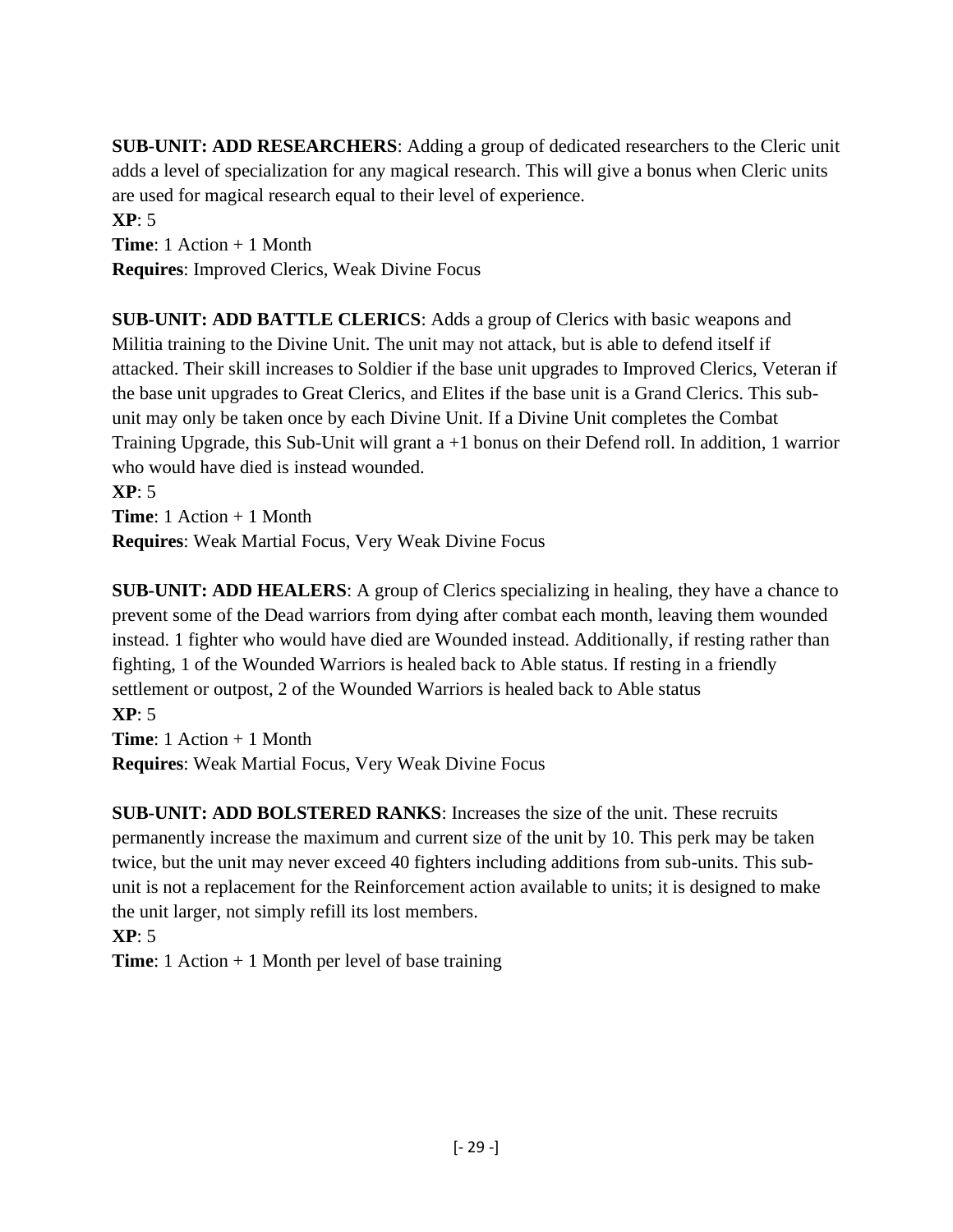**SUB-UNIT: ADD RESEARCHERS**: Adding a group of dedicated researchers to the Cleric unit adds a level of specialization for any magical research. This will give a bonus when Cleric units are used for magical research equal to their level of experience.

**XP**: 5 **Time**: 1 Action + 1 Month **Requires**: Improved Clerics, Weak Divine Focus

**SUB-UNIT: ADD BATTLE CLERICS**: Adds a group of Clerics with basic weapons and Militia training to the Divine Unit. The unit may not attack, but is able to defend itself if attacked. Their skill increases to Soldier if the base unit upgrades to Improved Clerics, Veteran if the base unit upgrades to Great Clerics, and Elites if the base unit is a Grand Clerics. This subunit may only be taken once by each Divine Unit. If a Divine Unit completes the Combat Training Upgrade, this Sub-Unit will grant a +1 bonus on their Defend roll. In addition, 1 warrior who would have died is instead wounded.

**XP**: 5 **Time**: 1 Action + 1 Month **Requires**: Weak Martial Focus, Very Weak Divine Focus

**SUB-UNIT: ADD HEALERS**: A group of Clerics specializing in healing, they have a chance to prevent some of the Dead warriors from dying after combat each month, leaving them wounded instead. 1 fighter who would have died are Wounded instead. Additionally, if resting rather than fighting, 1 of the Wounded Warriors is healed back to Able status. If resting in a friendly settlement or outpost, 2 of the Wounded Warriors is healed back to Able status **XP**: 5

**Time**: 1 Action + 1 Month **Requires**: Weak Martial Focus, Very Weak Divine Focus

**SUB-UNIT: ADD BOLSTERED RANKS**: Increases the size of the unit. These recruits permanently increase the maximum and current size of the unit by 10. This perk may be taken twice, but the unit may never exceed 40 fighters including additions from sub-units. This subunit is not a replacement for the Reinforcement action available to units; it is designed to make the unit larger, not simply refill its lost members.

**XP**: 5

**Time**: 1 Action + 1 Month per level of base training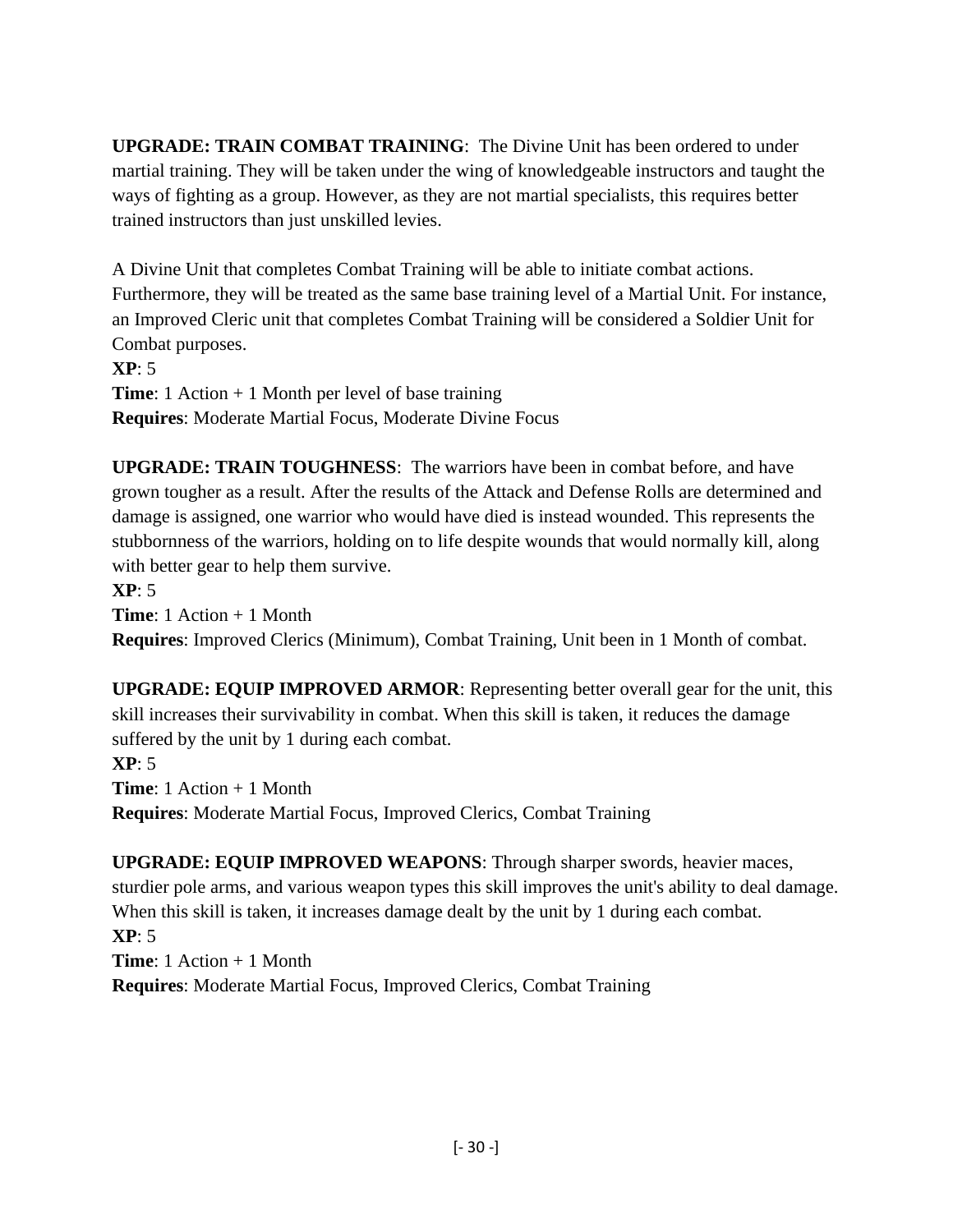**UPGRADE: TRAIN COMBAT TRAINING**: The Divine Unit has been ordered to under martial training. They will be taken under the wing of knowledgeable instructors and taught the ways of fighting as a group. However, as they are not martial specialists, this requires better trained instructors than just unskilled levies.

A Divine Unit that completes Combat Training will be able to initiate combat actions. Furthermore, they will be treated as the same base training level of a Martial Unit. For instance, an Improved Cleric unit that completes Combat Training will be considered a Soldier Unit for Combat purposes.

**XP**: 5 **Time**: 1 Action + 1 Month per level of base training **Requires**: Moderate Martial Focus, Moderate Divine Focus

**UPGRADE: TRAIN TOUGHNESS**: The warriors have been in combat before, and have grown tougher as a result. After the results of the Attack and Defense Rolls are determined and damage is assigned, one warrior who would have died is instead wounded. This represents the stubbornness of the warriors, holding on to life despite wounds that would normally kill, along with better gear to help them survive.

**XP**: 5

**Time**: 1 Action + 1 Month

**Requires**: Improved Clerics (Minimum), Combat Training, Unit been in 1 Month of combat.

**UPGRADE: EQUIP IMPROVED ARMOR**: Representing better overall gear for the unit, this skill increases their survivability in combat. When this skill is taken, it reduces the damage suffered by the unit by 1 during each combat.

**XP**: 5 **Time**: 1 Action + 1 Month **Requires**: Moderate Martial Focus, Improved Clerics, Combat Training

**UPGRADE: EQUIP IMPROVED WEAPONS**: Through sharper swords, heavier maces, sturdier pole arms, and various weapon types this skill improves the unit's ability to deal damage. When this skill is taken, it increases damage dealt by the unit by 1 during each combat. **XP**: 5 **Time**: 1 Action + 1 Month **Requires**: Moderate Martial Focus, Improved Clerics, Combat Training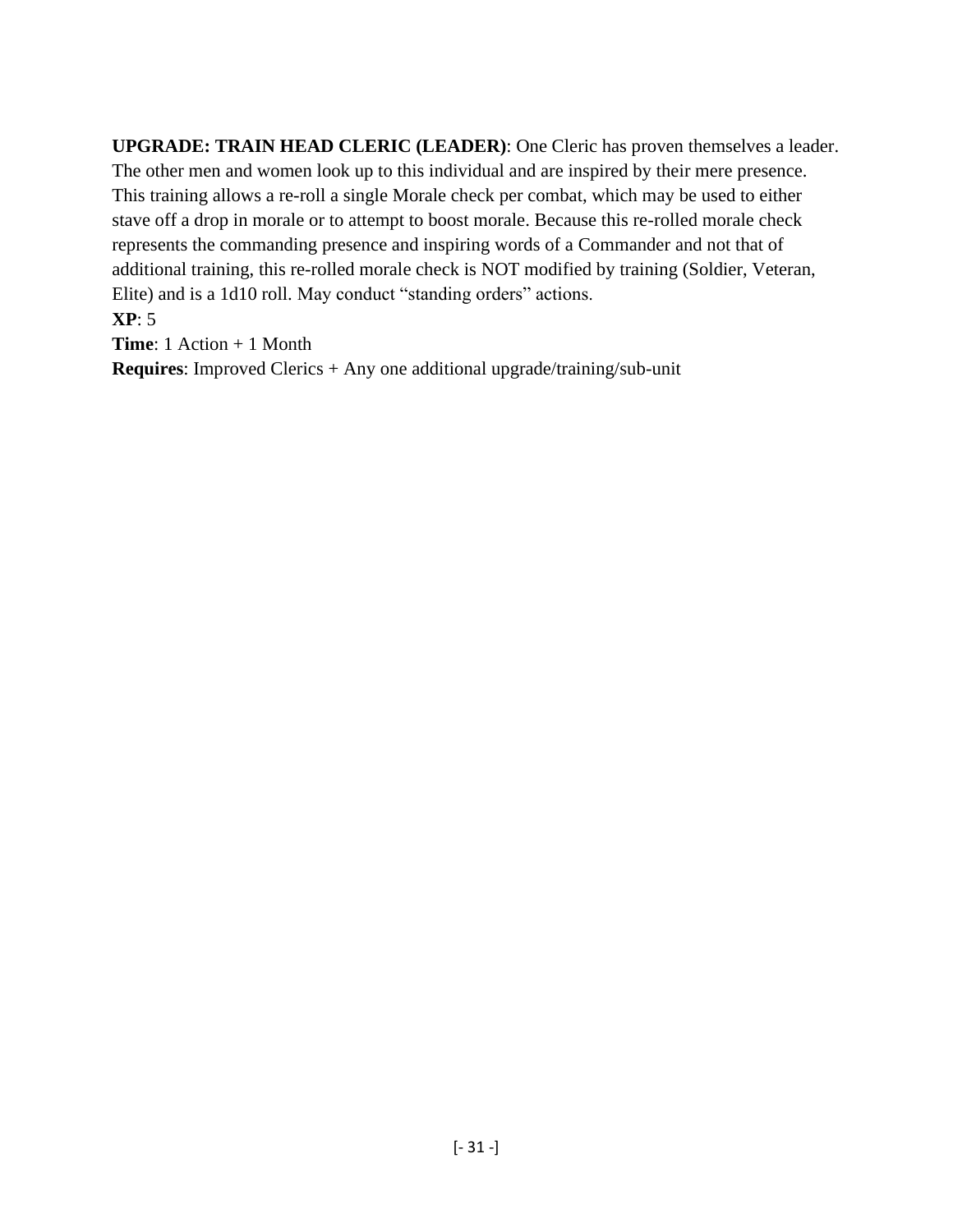**UPGRADE: TRAIN HEAD CLERIC (LEADER)**: One Cleric has proven themselves a leader. The other men and women look up to this individual and are inspired by their mere presence. This training allows a re-roll a single Morale check per combat, which may be used to either stave off a drop in morale or to attempt to boost morale. Because this re-rolled morale check represents the commanding presence and inspiring words of a Commander and not that of additional training, this re-rolled morale check is NOT modified by training (Soldier, Veteran, Elite) and is a 1d10 roll. May conduct "standing orders" actions.

### **XP**: 5

**Time**: 1 Action + 1 Month

**Requires**: Improved Clerics + Any one additional upgrade/training/sub-unit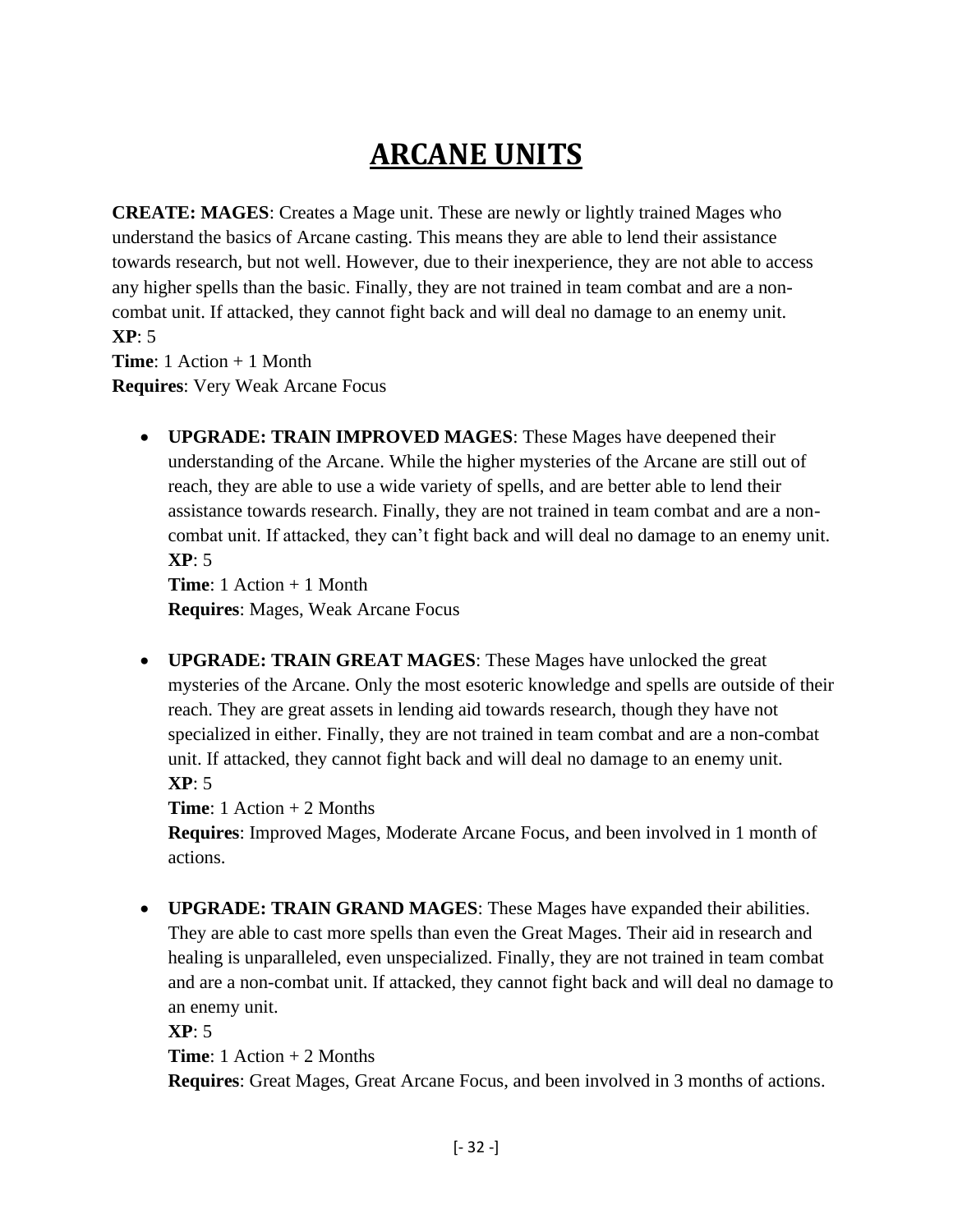### **ARCANE UNITS**

<span id="page-31-0"></span>**CREATE: MAGES**: Creates a Mage unit. These are newly or lightly trained Mages who understand the basics of Arcane casting. This means they are able to lend their assistance towards research, but not well. However, due to their inexperience, they are not able to access any higher spells than the basic. Finally, they are not trained in team combat and are a noncombat unit. If attacked, they cannot fight back and will deal no damage to an enemy unit. **XP**: 5

**Time**: 1 Action + 1 Month **Requires**: Very Weak Arcane Focus

> • **UPGRADE: TRAIN IMPROVED MAGES**: These Mages have deepened their understanding of the Arcane. While the higher mysteries of the Arcane are still out of reach, they are able to use a wide variety of spells, and are better able to lend their assistance towards research. Finally, they are not trained in team combat and are a noncombat unit. If attacked, they can't fight back and will deal no damage to an enemy unit. **XP**: 5

**Time**: 1 Action + 1 Month **Requires**: Mages, Weak Arcane Focus

• **UPGRADE: TRAIN GREAT MAGES**: These Mages have unlocked the great mysteries of the Arcane. Only the most esoteric knowledge and spells are outside of their reach. They are great assets in lending aid towards research, though they have not specialized in either. Finally, they are not trained in team combat and are a non-combat unit. If attacked, they cannot fight back and will deal no damage to an enemy unit. **XP**: 5

**Time**: 1 Action + 2 Months

**Requires**: Improved Mages, Moderate Arcane Focus, and been involved in 1 month of actions.

• **UPGRADE: TRAIN GRAND MAGES**: These Mages have expanded their abilities. They are able to cast more spells than even the Great Mages. Their aid in research and healing is unparalleled, even unspecialized. Finally, they are not trained in team combat and are a non-combat unit. If attacked, they cannot fight back and will deal no damage to an enemy unit.

**XP**: 5

**Time**: 1 Action + 2 Months

**Requires**: Great Mages, Great Arcane Focus, and been involved in 3 months of actions.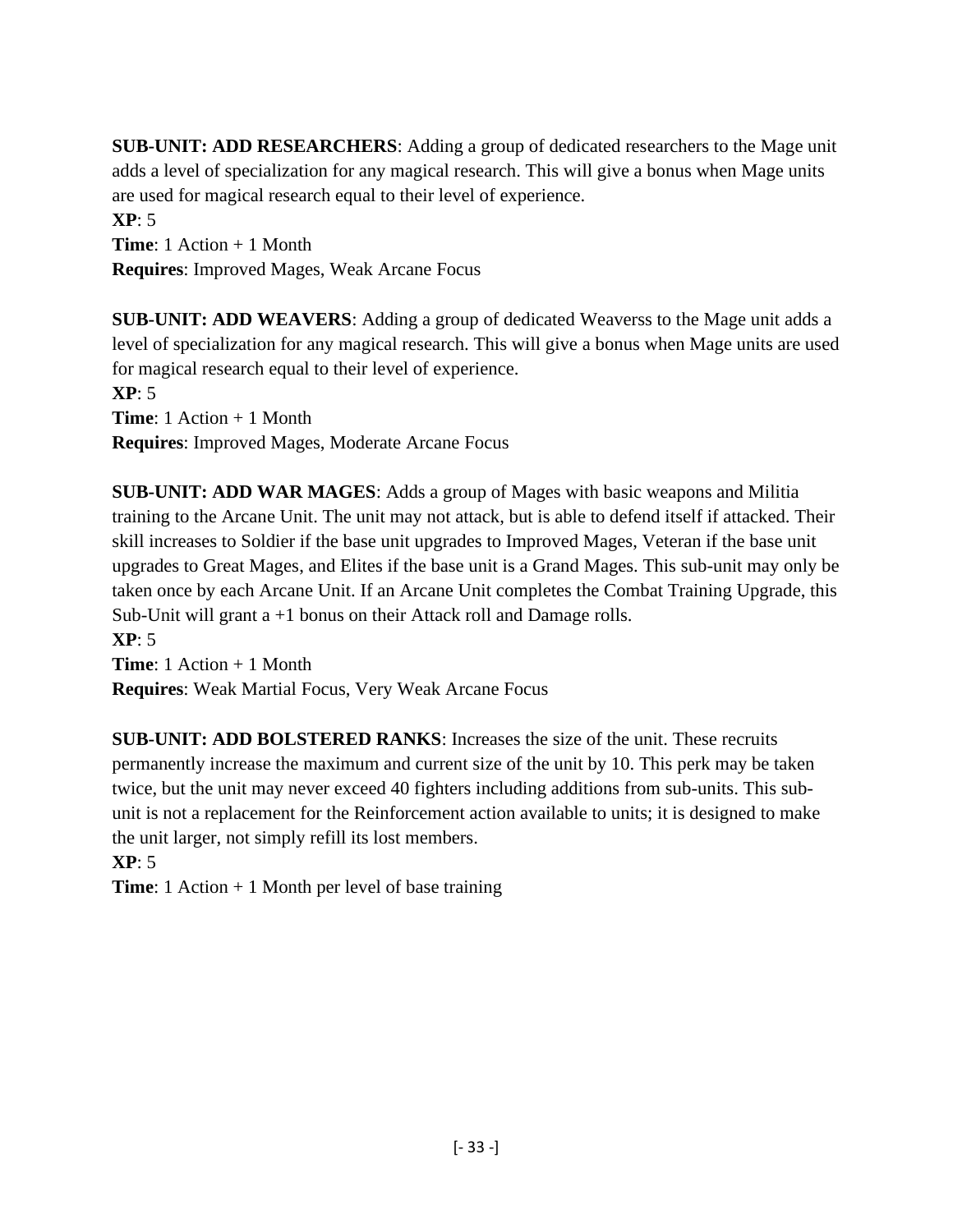**SUB-UNIT: ADD RESEARCHERS**: Adding a group of dedicated researchers to the Mage unit adds a level of specialization for any magical research. This will give a bonus when Mage units are used for magical research equal to their level of experience.

**XP**: 5 **Time**: 1 Action + 1 Month **Requires**: Improved Mages, Weak Arcane Focus

**SUB-UNIT: ADD WEAVERS**: Adding a group of dedicated Weaverss to the Mage unit adds a level of specialization for any magical research. This will give a bonus when Mage units are used for magical research equal to their level of experience.

**XP**: 5

**Time**: 1 Action + 1 Month **Requires**: Improved Mages, Moderate Arcane Focus

**SUB-UNIT: ADD WAR MAGES**: Adds a group of Mages with basic weapons and Militia training to the Arcane Unit. The unit may not attack, but is able to defend itself if attacked. Their skill increases to Soldier if the base unit upgrades to Improved Mages, Veteran if the base unit upgrades to Great Mages, and Elites if the base unit is a Grand Mages. This sub-unit may only be taken once by each Arcane Unit. If an Arcane Unit completes the Combat Training Upgrade, this Sub-Unit will grant a +1 bonus on their Attack roll and Damage rolls.

**XP**: 5 **Time**: 1 Action + 1 Month **Requires**: Weak Martial Focus, Very Weak Arcane Focus

**SUB-UNIT: ADD BOLSTERED RANKS**: Increases the size of the unit. These recruits permanently increase the maximum and current size of the unit by 10. This perk may be taken twice, but the unit may never exceed 40 fighters including additions from sub-units. This subunit is not a replacement for the Reinforcement action available to units; it is designed to make the unit larger, not simply refill its lost members.

**XP**: 5

**Time**: 1 Action + 1 Month per level of base training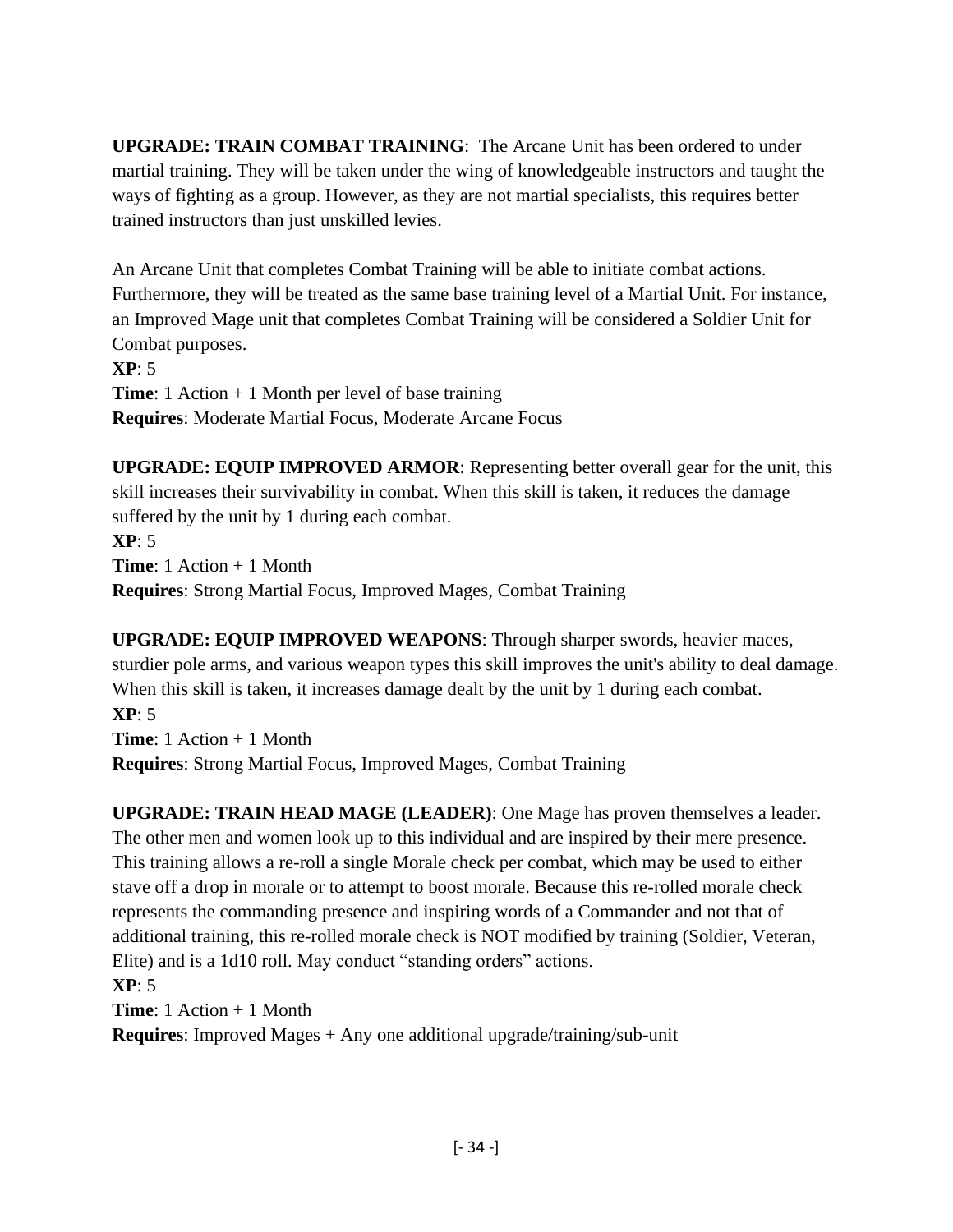**UPGRADE: TRAIN COMBAT TRAINING**: The Arcane Unit has been ordered to under martial training. They will be taken under the wing of knowledgeable instructors and taught the ways of fighting as a group. However, as they are not martial specialists, this requires better trained instructors than just unskilled levies.

An Arcane Unit that completes Combat Training will be able to initiate combat actions. Furthermore, they will be treated as the same base training level of a Martial Unit. For instance, an Improved Mage unit that completes Combat Training will be considered a Soldier Unit for Combat purposes.

**XP**: 5 **Time**: 1 Action + 1 Month per level of base training **Requires**: Moderate Martial Focus, Moderate Arcane Focus

**UPGRADE: EQUIP IMPROVED ARMOR**: Representing better overall gear for the unit, this skill increases their survivability in combat. When this skill is taken, it reduces the damage suffered by the unit by 1 during each combat. **XP**: 5 **Time**: 1 Action + 1 Month **Requires**: Strong Martial Focus, Improved Mages, Combat Training

**UPGRADE: EQUIP IMPROVED WEAPONS**: Through sharper swords, heavier maces, sturdier pole arms, and various weapon types this skill improves the unit's ability to deal damage. When this skill is taken, it increases damage dealt by the unit by 1 during each combat. **XP**: 5 **Time**: 1 Action + 1 Month **Requires**: Strong Martial Focus, Improved Mages, Combat Training

**UPGRADE: TRAIN HEAD MAGE (LEADER)**: One Mage has proven themselves a leader. The other men and women look up to this individual and are inspired by their mere presence. This training allows a re-roll a single Morale check per combat, which may be used to either stave off a drop in morale or to attempt to boost morale. Because this re-rolled morale check represents the commanding presence and inspiring words of a Commander and not that of additional training, this re-rolled morale check is NOT modified by training (Soldier, Veteran, Elite) and is a 1d10 roll. May conduct "standing orders" actions.

**XP**: 5

**Time**: 1 Action + 1 Month

**Requires**: Improved Mages + Any one additional upgrade/training/sub-unit